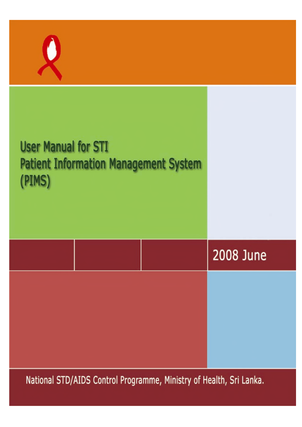

# **User Manual for STI Patient Information Management System** (PIMS) **2008 June**

National STD/AIDS Control Programme, Ministry of Health, Sri Lanka.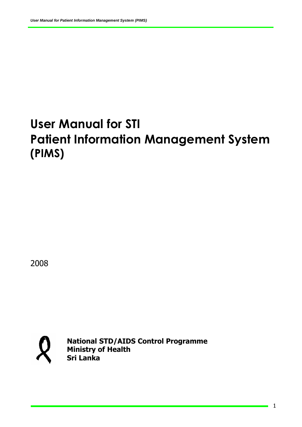# **User Manual for STI Patient Information Management System (PIMS)**

2008



**National STD/AIDS Control Programme Ministry of Health Sri Lanka**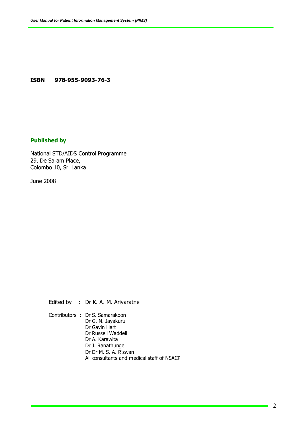#### **ISBN 978-955-9093-76-3**

#### **Published by**

National STD/AIDS Control Programme 29, De Saram Place, Colombo 10, Sri Lanka

June 2008

Edited by : Dr K. A. M. Ariyaratne

Contributors : Dr S. Samarakoon Dr G. N. Jayakuru Dr Gavin Hart Dr Russell Waddell Dr A. Karawita Dr J. Ranathunge Dr Dr M. S. A. Rizwan All consultants and medical staff of NSACP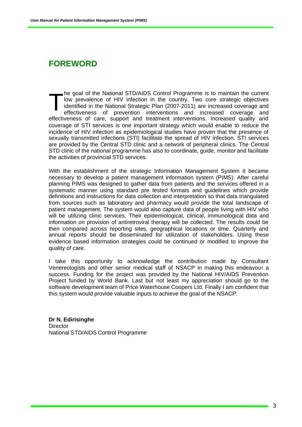# **FOREWORD**

he goal of the National STD/AIDS Control Programme is to maintain the current low prevalence of HIV infection in the country. Two core strategic objectives identified in the National Strategic Plan (2007-2011) are increased coverage and effectiveness of prevention interventions and increased coverage and effectiveness of care, support and treatment interventions. Increased quality and coverage of STI services is one important strategy which would enable to reduce the incidence of HIV infection as epidemiological studies have proven that the presence of sexually transmitted infections (STI) facilitate the spread of HIV infection. STI services are provided by the Central STD clinic and a network of peripheral clinics. The Central STD clinic of the national programme has also to coordinate, guide, monitor and facilitate the activities of provincial STD services. T

With the establishment of the strategic Information Management System it became necessary to develop a patient management information system (PIMS). After careful planning PIMS was designed to gather data from patients and the services offered in a systematic manner using standard pre tested formats and guidelines which provide definitions and instructions for data collection and interpretation so that data triangulated from sources such as laboratory and pharmacy would provide the total landscape of patient management. The system would also capture data of people living with HIV who will be utilizing clinic services. Their epidemiological, clinical, immunological data and information on provision of antiretroviral therapy will be collected. The results could be then compared across reporting sites, geographical locations or time. Quarterly and annual reports should be disseminated for utilization of stakeholders. Using these evidence based information strategies could be continued or modified to improve the quality of care.

I take this opportunity to acknowledge the contribution made by Consultant Venereologists and other senior medical staff of NSACP in making this endeavour a success. Funding for the project was provided by the National HIV/AIDS Prevention Project funded by World Bank. Last but not least my appreciation should go to the software development team of Price Waterhouse Coopers Ltd. Finally I am confident that this system would provide valuable inputs to achieve the goal of the NSACP.

**Dr N. Edirisinghe Director** National STD/AIDS Control Programme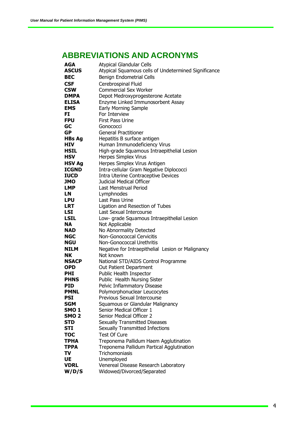# **ABBREVIATIONS AND ACRONYMS**

| <b>AGA</b>    | <b>Atypical Glandular Cells</b>                      |
|---------------|------------------------------------------------------|
| <b>ASCUS</b>  | Atypical Squamous cells of Undetermined Significance |
| <b>BEC</b>    | Benign Endometrial Cells                             |
| <b>CSF</b>    | Cerebrospinal Fluid                                  |
| <b>CSW</b>    | <b>Commercial Sex Worker</b>                         |
| <b>DMPA</b>   | Depot Medroxyprogesterone Acetate                    |
| <b>ELISA</b>  | Enzyme Linked Immunosorbent Assay                    |
| <b>EMS</b>    | Early Morning Sample                                 |
| FI.           | For Interview                                        |
| <b>FPU</b>    | <b>First Pass Urine</b>                              |
| GC            | Gonococci                                            |
| <b>GP</b>     | <b>General Practitioner</b>                          |
| <b>HBs Ag</b> | Hepatitis B surface antigen                          |
| <b>HIV</b>    | Human Immunodeficiency Virus                         |
| <b>HSIL</b>   | High-grade Squamous Intraepithelial Lesion           |
| <b>HSV</b>    | <b>Herpes Simplex Virus</b>                          |
| <b>HSV Ag</b> | Herpes Simplex Virus Antigen                         |
| <b>ICGND</b>  | Intra-cellular Gram Negative Diplococci              |
| <b>IUCD</b>   | Intra Uterine Contraceptive Devices                  |
| <b>JMO</b>    | Judicial Medical Officer                             |
| <b>LMP</b>    | Last Menstrual Period                                |
| LN            | Lymphnodes                                           |
| <b>LPU</b>    | Last Pass Urine                                      |
| <b>LRT</b>    | Ligation and Resection of Tubes                      |
| <b>LSI</b>    | Last Sexual Intercourse                              |
| <b>LSIL</b>   | Low- grade Squamous Intraepithelial Lesion           |
| <b>NA</b>     | Not Applicable                                       |
| <b>NAD</b>    | No Abnormality Detected                              |
| <b>NGC</b>    | Non-Gonococcal Cervicitis                            |
| <b>NGU</b>    | Non-Gonococcal Urethritis                            |
| <b>NILM</b>   | Negative for Intraepithelial Lesion or Malignancy    |
| <b>NK</b>     | Not known                                            |
| <b>NSACP</b>  | National STD/AIDS Control Programme                  |
| <b>OPD</b>    | Out Patient Department                               |
| <b>PHI</b>    | Public Health Inspector                              |
| <b>PHNS</b>   | Public Health Nursing Sister                         |
| <b>PID</b>    | Pelvic Inflammatory Disease                          |
| <b>PMNL</b>   | Polymorphonuclear Leucocytes                         |
| <b>PSI</b>    | Previous Sexual Intercourse                          |
| <b>SGM</b>    | Squamous or Glandular Malignancy                     |
| <b>SMO1</b>   | Senior Medical Officer 1                             |
| <b>SMO 2</b>  | Senior Medical Officer 2                             |
| <b>STD</b>    | <b>Sexually Transmitted Diseases</b>                 |
| <b>STI</b>    | <b>Sexually Transmitted Infections</b>               |
| <b>TOC</b>    | <b>Test Of Cure</b>                                  |
| <b>TPHA</b>   | Treponema Pallidum Haem Agglutination                |
| <b>TPPA</b>   | Treponema Pallidum Partical Agglutination            |
| TV            | Trichomoniasis                                       |
| UE            | Unemployed                                           |
| <b>VDRL</b>   | Venereal Disease Research Laboratory                 |
| W/D/S         | Widowed/Divorced/Separated                           |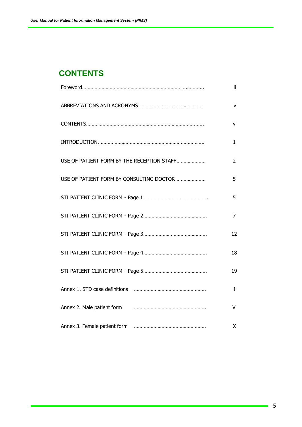# **CONTENTS**

|                                            | iii.           |
|--------------------------------------------|----------------|
|                                            | iv             |
|                                            | v              |
|                                            | $\mathbf{1}$   |
| USE OF PATIENT FORM BY THE RECEPTION STAFF | 2              |
| USE OF PATIENT FORM BY CONSULTING DOCTOR   | 5              |
|                                            | 5              |
|                                            | $\overline{7}$ |
|                                            | 12             |
|                                            | 18             |
|                                            | 19             |
|                                            | $\mathbf I$    |
|                                            | V              |
|                                            | x              |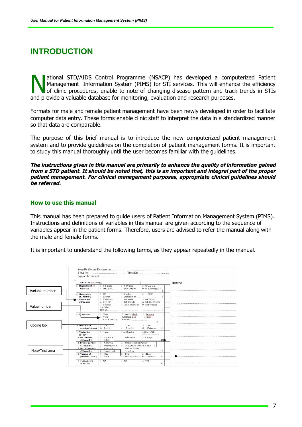# **INTRODUCTION**

ational STD/AIDS Control Programme (NSACP) has developed a computerized Patient Management Information System (PIMS) for STI services. This will enhance the efficiency of clinic procedures, enable to note of changing disease pattern and track trends in STIs and provide a valuable database for monitoring, evaluation and research purposes. N

Formats for male and female patient management have been newly developed in order to facilitate computer data entry. These forms enable clinic staff to interpret the data in a standardized manner so that data are comparable.

The purpose of this brief manual is to introduce the new computerized patient management system and to provide guidelines on the completion of patient management forms. It is important to study this manual thoroughly until the user becomes familiar with the guidelines.

The instructions given in this manual are primarily to enhance the quality of information gained from a STD patient. It should be noted that, this is an important and integral part of the proper **patient management. For clinical management purposes, appropriate clinical guidelines should be referred.**

#### **How to use this manual**

This manual has been prepared to guide users of Patient Information Management System (PIMS). Instructions and definitions of variables in this manual are given according to the sequence of variables appear in the patient forms. Therefore, users are advised to refer the manual along with the male and female forms.

It is important to understand the following terms, as they appear repeatedly in the manual.

|                 | Age of the Patient:                                                                                                                                                                                             |  |
|-----------------|-----------------------------------------------------------------------------------------------------------------------------------------------------------------------------------------------------------------|--|
|                 | 1. Date of visit (dd/mm/vv)<br>History:                                                                                                                                                                         |  |
| Variable number | 2. Highest level of<br>$1.1-5$ grade<br>2. 6-10 grade<br>3. G.C.E O/L<br>4. G.C.E A/L<br>5. Dip/Degree<br>6. No schooling/NA<br>education                                                                       |  |
|                 | $3.$ CSW<br>1. UE<br>2. Student<br>3. Occupation<br>4. Retired<br>$(12$ months)                                                                                                                                 |  |
| Value number    | 3. Ref. Ward<br>2. Ref. OPD<br>4. Reason for<br>1. Voluntary<br>5. Ref. Courts<br>4. Ref. GP<br>6. Ref. Bloodbank<br>attendance<br>7. Contact<br>8. Clinic follow up<br>9. Medico-legal<br>10. Other<br>Ref. no |  |
|                 | -----------------------<br>5. Symptoms<br>2. Genital disch.<br>1. None<br>2. Dysuria<br>5. Genital ulcer<br>6.Rash<br>4. Warts<br>7. Scrotal swelling                                                           |  |
| Coding box      | 5<br>1. NA<br>3.747<br>6. Duration of<br>2.13<br>6. Unknown<br>$4.8 - 14$<br>5. Over 14<br>6<br>symptom/s(days)                                                                                                 |  |
|                 | 7. Medication<br>1. None<br>2. Antibiotics<br>3. Others/NK<br>$(14 \text{ days})$                                                                                                                               |  |
|                 | 1. None/NA<br>2. Sri Lankan<br><b>13. Sex contacts</b><br>3. Foreign<br>4. $(2&3)$<br>$(12$ months)                                                                                                             |  |
|                 | 2. Marital/Regular Partner<br>1. None/NA<br>14. Type of partner<br>4. Commercial Partner/Client 14<br>3. Non-regular P<br>(12 months)<br>15. Sex of Partner/s<br>1. Male only<br>2. Male & Female               |  |
| Note/Text area  | 3. Female only<br>4. None/NA<br>15<br>(12 months)<br>$2.$ Two<br>3. Three<br>16. Number of<br>1. One                                                                                                            |  |
|                 | 4. Four<br>partners(3 months)<br>None/NA<br>ъ.<br>rive or more<br>16                                                                                                                                            |  |
|                 | 17. Condoms use<br>1. NA<br>2. No.<br>3. Yes<br>at last sex<br>17                                                                                                                                               |  |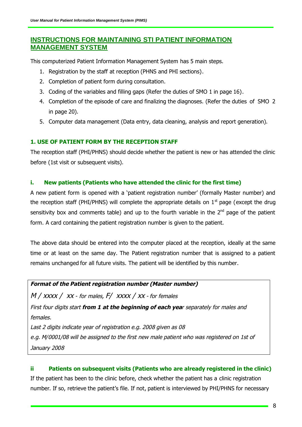#### **INSTRUCTIONS FOR MAINTAINING STI PATIENT INFORMATION MANAGEMENT SYSTEM**

This computerized Patient Information Management System has 5 main steps.

- 1. Registration by the staff at reception (PHNS and PHI sections).
- 2. Completion of patient form during consultation.
- 3. Coding of the variables and filling gaps (Refer the duties of SMO 1 in page 16).
- 4. Completion of the episode of care and finalizing the diagnoses. (Refer the duties of SMO 2 in page 20).
- 5. Computer data management (Data entry, data cleaning, analysis and report generation).

#### **1. USE OF PATIENT FORM BY THE RECEPTION STAFF**

The reception staff (PHI/PHNS) should decide whether the patient is new or has attended the clinic before (1st visit or subsequent visits).

#### **i. New patients (Patients who have attended the clinic for the first time)**

A new patient form is opened with a 'patient registration number' (formally Master number) and the reception staff (PHI/PHNS) will complete the appropriate details on  $1<sup>st</sup>$  page (except the drug sensitivity box and comments table) and up to the fourth variable in the  $2^{nd}$  page of the patient form. A card containing the patient registration number is given to the patient.

The above data should be entered into the computer placed at the reception, ideally at the same time or at least on the same day. The Patient registration number that is assigned to a patient remains unchanged for all future visits. The patient will be identified by this number.

#### **Format of the Patient registration number (Master number)**

 $M /$  XXXX / XX - for males,  $F /$  XXXX / XX - for females

First four digits start **from 1 at the beginning of each yea**<sup>r</sup> separately for males and females.

Last 2 digits indicate year of registration e.g. 2008 given as 08

e.g. M/0001/08 will be assigned to the first new male patient who was registered on 1st of January 2008

#### **ii Patients on subsequent visits (Patients who are already registered in the clinic)**

If the patient has been to the clinic before, check whether the patient has a clinic registration number. If so, retrieve the patient's file. If not, patient is interviewed by PHI/PHNS for necessary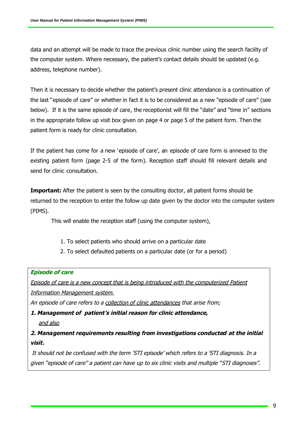data and an attempt will be made to trace the previous clinic number using the search facility of the computer system. Where necessary, the patient's contact details should be updated (e.g. address, telephone number).

Then it is necessary to decide whether the patient's present clinic attendance is a continuation of the last "episode of care" or whether in fact it is to be considered as a new "episode of care" (see below). If it is the same episode of care, the receptionist will fill the "date" and "time in" sections in the appropriate follow up visit box given on page 4 or page 5 of the patient form. Then the patient form is ready for clinic consultation.

If the patient has come for a new 'episode of care', an episode of care form is annexed to the existing patient form (page 2-5 of the form). Reception staff should fill relevant details and send for clinic consultation.

**Important:** After the patient is seen by the consulting doctor, all patient forms should be returned to the reception to enter the follow up date given by the doctor into the computer system (PIMS).

This will enable the reception staff (using the computer system),

- 1. To select patients who should arrive on a particular date
- 2. To select defaulted patients on a particular date (or for a period)

#### **Episode of care**

Episode of care is <sup>a</sup> new concept that is being introduced with the computerized Patient

Information Management system.

An episode of care refers to a collection of clinic attendances that arise from;

#### **1. Management of patient's initial reason for clinic attendance,**

and also

#### **2. Management requirements resulting from investigations conducted at the initial visit.**

It should not be confused with the term 'STI episode' which refers to <sup>a</sup> 'STI diagnosis. In <sup>a</sup> given "episode of care" <sup>a</sup> patient can have up to six clinic visits and multiple "STI diagnoses".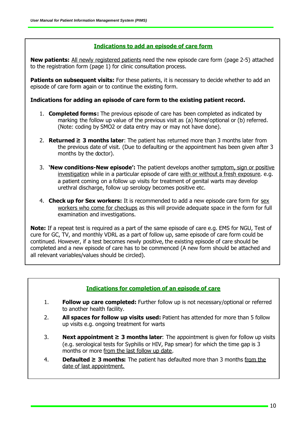#### **Indications to add an episode of care form**

**New patients:** All newly registered patients need the new episode care form (page 2-5) attached to the registration form (page 1) for clinic consultation process.

**Patients on subsequent visits:** For these patients, it is necessary to decide whether to add an episode of care form again or to continue the existing form.

#### **Indications for adding an episode of care form to the existing patient record.**

- 1. **Completed forms:** The previous episode of care has been completed as indicated by marking the follow up value of the previous visit as (a) None/optional or (b) referred. (Note: coding by SMO2 or data entry may or may not have done).
- 2. **Returned ≥ 3 months later**: The patient has returned more than 3 months later from the previous date of visit. (Due to defaulting or the appointment has been given after 3 months by the doctor).
- 3. **'New conditions-New episode':** The patient develops another symptom, sign or positive investigation while in a particular episode of care with or without a fresh exposure. e.g. a patient coming on a follow up visits for treatment of genital warts may develop urethral discharge, follow up serology becomes positive etc.
- 4. **Check up for Sex workers:** It is recommended to add a new episode care form for sex workers who come for checkups as this will provide adequate space in the form for full examination and investigations.

**Note:** If a repeat test is required as a part of the same episode of care e.g. EMS for NGU, Test of cure for GC, TV, and monthly VDRL as a part of follow up, same episode of care form could be continued. However, if a test becomes newly positive, the existing episode of care should be completed and a new episode of care has to be commenced (A new form should be attached and all relevant variables/values should be circled).

#### **Indications for completion of an episode of care**

- 1. **Follow up care completed:** Further follow up is not necessary/optional or referred to another health facility.
- 2. **All spaces for follow up visits used:** Patient has attended for more than 5 follow up visits e.g. ongoing treatment for warts
- 3. **Next appointment ≥ 3 months later**: The appointment is given for follow up visits (e.g. serological tests for Syphilis or HIV, Pap smear) for which the time gap is 3 months or more from the last follow up date.
- 4. **Defaulted ≥ 3 months:** The patient has defaulted more than 3 months from the date of last appointment.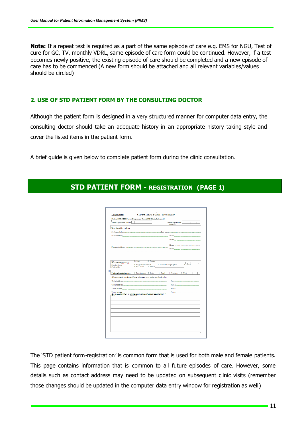**Note:** If a repeat test is required as a part of the same episode of care e.g. EMS for NGU, Test of cure for GC, TV, monthly VDRL, same episode of care form could be continued. However, if a test becomes newly positive, the existing episode of care should be completed and a new episode of care has to be commenced (A new form should be attached and all relevant variables/values should be circled)

#### **2. USE OF STD PATIENT FORM BY THE CONSULTING DOCTOR**

Although the patient form is designed in a very structured manner for computer data entry, the consulting doctor should take an adequate history in an appropriate history taking style and cover the listed items in the patient form.

A brief guide is given below to complete patient form during the clinic consultation.

#### **STD PATIENT FORM - REGISTRATION (PAGE 1)**

| Patient Registration Number:      | National STD/AIDS Control Programme, Central STD Clinic, Colombo 10<br>Date of registration:<br>(dd/mm/250)                                                                                                                    |
|-----------------------------------|--------------------------------------------------------------------------------------------------------------------------------------------------------------------------------------------------------------------------------|
| <b>Drug Sensitivity / Allergy</b> |                                                                                                                                                                                                                                |
|                                   | First name (Initial & Location and Association and Association and Association and Association and Association and Association and Association and Association and Association and Association and Association and Association |
|                                   | Current address <sub>communication</sub> and consumer an announcement communication<br>Phone: Communication and Communication and                                                                                              |
|                                   |                                                                                                                                                                                                                                |
|                                   |                                                                                                                                                                                                                                |
|                                   | ${\tt Phone}_{\sf toanmonononononononononononononon}$                                                                                                                                                                          |
|                                   |                                                                                                                                                                                                                                |
|                                   |                                                                                                                                                                                                                                |
| Sev                               | 1. Male<br>2. Female                                                                                                                                                                                                           |
| Date of birth (dd mm yy)          |                                                                                                                                                                                                                                |
| <b>Marital</b> status             | 1. Single Never married<br>2. Married/Living to gether<br>सी राज<br>₹<br>Sri Lankan<br>Others                                                                                                                                  |
| <b>Nationality</b>                |                                                                                                                                                                                                                                |
|                                   |                                                                                                                                                                                                                                |
| Preferred mode of contact         | 1. Do not contact<br>2. Tatter<br>3. Email<br>4. T. phone<br>5 Visit                                                                                                                                                           |
|                                   |                                                                                                                                                                                                                                |
|                                   | (If contact details are changed during subsequent visits, update new details below)                                                                                                                                            |
|                                   |                                                                                                                                                                                                                                |
|                                   |                                                                                                                                                                                                                                |
|                                   | Phone: Consequences and Consequences and Consequences                                                                                                                                                                          |
|                                   |                                                                                                                                                                                                                                |
|                                   | Phone: Communication and Communication                                                                                                                                                                                         |
|                                   |                                                                                                                                                                                                                                |
|                                   | Phone:                                                                                                                                                                                                                         |
|                                   | E-mail address:<br>(Use the space below if there are comments that are important and relevant to future clinic visits)                                                                                                         |
| Date                              | Comment                                                                                                                                                                                                                        |
|                                   |                                                                                                                                                                                                                                |
|                                   |                                                                                                                                                                                                                                |
|                                   |                                                                                                                                                                                                                                |
|                                   |                                                                                                                                                                                                                                |
|                                   |                                                                                                                                                                                                                                |
|                                   |                                                                                                                                                                                                                                |
|                                   |                                                                                                                                                                                                                                |
|                                   |                                                                                                                                                                                                                                |
|                                   |                                                                                                                                                                                                                                |
|                                   |                                                                                                                                                                                                                                |
|                                   |                                                                                                                                                                                                                                |
|                                   |                                                                                                                                                                                                                                |

The 'STD patient form-registration' is common form that is used for both male and female patients. This page contains information that is common to all future episodes of care. However, some details such as contact address may need to be updated on subsequent clinic visits (remember those changes should be updated in the computer data entry window for registration as well)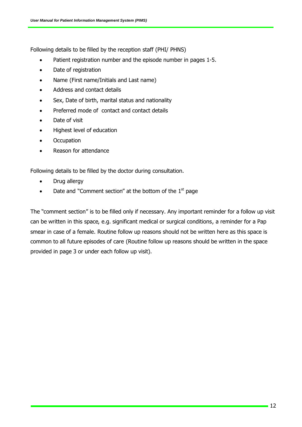Following details to be filled by the reception staff (PHI/ PHNS)

- Patient registration number and the episode number in pages 1-5.
- Date of registration
- Name (First name/Initials and Last name)
- Address and contact details
- Sex, Date of birth, marital status and nationality
- Preferred mode of contact and contact details
- Date of visit
- Highest level of education
- **Occupation**
- Reason for attendance

Following details to be filled by the doctor during consultation.

- Drug allergy
- Date and "Comment section" at the bottom of the  $1<sup>st</sup>$  page

The "comment section" is to be filled only if necessary. Any important reminder for a follow up visit can be written in this space, e.g. significant medical or surgical conditions, a reminder for a Pap smear in case of a female. Routine follow up reasons should not be written here as this space is common to all future episodes of care (Routine follow up reasons should be written in the space provided in page 3 or under each follow up visit).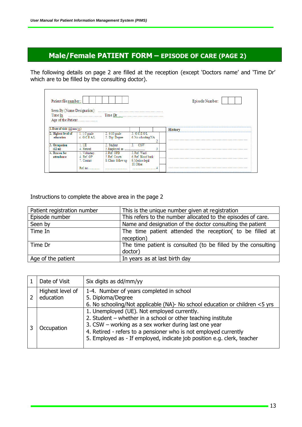# **Male/Female PATIENT FORM – EPISODE OF CARE (PAGE 2)**

The following details on page 2 are filled at the reception (except 'Doctors name' and 'Time Dr' which are to be filled by the consulting doctor).

|                                                  | Patient file number:<br>Episode Number:  |                                                      |                                                       |  |        |  |                |
|--------------------------------------------------|------------------------------------------|------------------------------------------------------|-------------------------------------------------------|--|--------|--|----------------|
| Seen By (Name/Designation)<br>Age of the Patient |                                          |                                                      |                                                       |  |        |  |                |
| 1. Date of visit (dd/mm/yy)                      |                                          |                                                      |                                                       |  |        |  | <b>History</b> |
| 2. Highest level of<br>education                 | $1.1-5$ grade<br>4. G.C.E.A.L.           | 2. 6-10 grade<br>5. Dip/ Degree                      | 3. G.C.E O/L<br>6. No schooling/NA                    |  |        |  |                |
| 3. Occupation<br>$(12 \text{ m})$                | 1. UE<br>4. Retired                      | 2. Student                                           | $3$ $CSW$                                             |  | ×<br>٠ |  |                |
| 4. Reason for<br>attendance                      | 1. Voluntary<br>4. Ref. GP<br>7. Contact | 2. Ref. OPD<br>5. Ref. Courts<br>8. Clinic follow up | 3. Ref. Ward<br>6. Ref. Blood bank<br>9. Medico-legal |  |        |  |                |
|                                                  | Ref.no.                                  |                                                      | 10. Other                                             |  |        |  |                |

Instructions to complete the above area in the page 2

| Patient registration number | This is the unique number given at registration               |  |  |  |
|-----------------------------|---------------------------------------------------------------|--|--|--|
| Episode number              | This refers to the number allocated to the episodes of care.  |  |  |  |
| Seen by                     | Name and designation of the doctor consulting the patient     |  |  |  |
| Time In                     | The time patient attended the reception( to be filled at      |  |  |  |
|                             | reception)                                                    |  |  |  |
| Time Dr                     | The time patient is consulted (to be filled by the consulting |  |  |  |
|                             | doctor)                                                       |  |  |  |
| Age of the patient          | In years as at last birth day                                 |  |  |  |

| Date of Visit                 | Six digits as dd/mm/yy                                                                                                                                                                                                                                                                                                |
|-------------------------------|-----------------------------------------------------------------------------------------------------------------------------------------------------------------------------------------------------------------------------------------------------------------------------------------------------------------------|
| Highest level of<br>education | 1-4. Number of years completed in school<br>5. Diploma/Degree<br>6. No schooling/Not applicable (NA)- No school education or children <5 yrs                                                                                                                                                                          |
| Occupation                    | 1. Unemployed (UE). Not employed currently.<br>2. Student – whether in a school or other teaching institute<br>3. CSW $-$ working as a sex worker during last one year<br>4. Retired - refers to a pensioner who is not employed currently<br>5. Employed as - If employed, indicate job position e.g. clerk, teacher |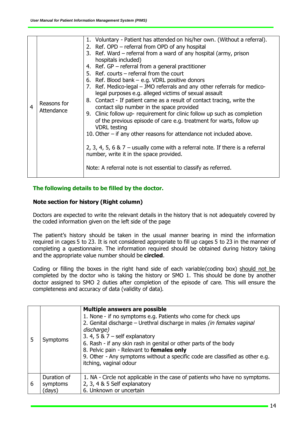| $\overline{4}$ | Reasons for<br>Attendance | 1. Voluntary - Patient has attended on his/her own. (Without a referral).<br>2. Ref. OPD – referral from OPD of any hospital<br>3. Ref. Ward – referral from a ward of any hospital (army, prison<br>hospitals included)<br>4. Ref. $GP$ – referral from a general practitioner<br>5. Ref. courts $-$ referral from the court<br>6. Ref. Blood bank $-$ e.g. VDRL positive donors<br>7. Ref. Medico-legal – JMO referrals and any other referrals for medico-<br>legal purposes e.g. alleged victims of sexual assault<br>8. Contact - If patient came as a result of contact tracing, write the<br>contact slip number in the space provided<br>9. Clinic follow up- requirement for clinic follow up such as completion<br>of the previous episode of care e.g. treatment for warts, follow up<br><b>VDRL</b> testing<br>10. Other $-$ if any other reasons for attendance not included above.<br>2, 3, 4, 5, 6 & $7$ – usually come with a referral note. If there is a referral<br>number, write it in the space provided.<br>Note: A referral note is not essential to classify as referred. |
|----------------|---------------------------|---------------------------------------------------------------------------------------------------------------------------------------------------------------------------------------------------------------------------------------------------------------------------------------------------------------------------------------------------------------------------------------------------------------------------------------------------------------------------------------------------------------------------------------------------------------------------------------------------------------------------------------------------------------------------------------------------------------------------------------------------------------------------------------------------------------------------------------------------------------------------------------------------------------------------------------------------------------------------------------------------------------------------------------------------------------------------------------------------|

#### **The following details to be filled by the doctor.**

#### **Note section for history (Right column)**

Doctors are expected to write the relevant details in the history that is not adequately covered by the coded information given on the left side of the page

The patient's history should be taken in the usual manner bearing in mind the information required in cages 5 to 23. It is not considered appropriate to fill up cages 5 to 23 in the manner of completing a questionnaire. The information required should be obtained during history taking and the appropriate value number should be **circled**.

Coding or filling the boxes in the right hand side of each variable(coding box) should not be completed by the doctor who is taking the history or SMO 1. This should be done by another doctor assigned to SMO 2 duties after completion of the episode of care. This will ensure the completeness and accuracy of data (validity of data).

|   | <b>Symptoms</b>                  | Multiple answers are possible<br>1. None - if no symptoms e.g. Patients who come for check ups<br>2. Genital discharge - Urethral discharge in males (in females vaginal<br>discharge)<br>3. 4, 5 & $7$ – self explanatory<br>6. Rash - if any skin rash in genital or other parts of the body<br>8. Pelvic pain - Relevant to females only<br>9. Other - Any symptoms without a specific code are classified as other e.g.<br>itching, vaginal odour |
|---|----------------------------------|-------------------------------------------------------------------------------------------------------------------------------------------------------------------------------------------------------------------------------------------------------------------------------------------------------------------------------------------------------------------------------------------------------------------------------------------------------|
| 6 | Duration of<br>symptoms<br>days) | 1. NA - Circle not applicable in the case of patients who have no symptoms.<br>2, 3, 4 & 5 Self explanatory<br>6. Unknown or uncertain                                                                                                                                                                                                                                                                                                                |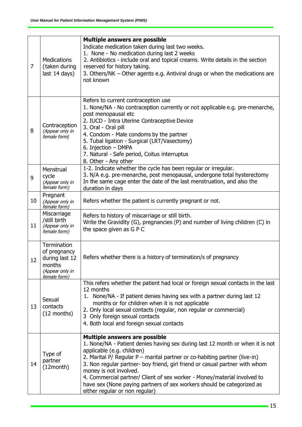| $\overline{7}$ | <b>Medications</b><br>(taken during<br>last 14 days)                                              | Multiple answers are possible<br>Indicate medication taken during last two weeks.<br>1. None - No medication during last 2 weeks<br>2. Antibiotics - include oral and topical creams. Write details in the section<br>reserved for history taking.<br>3. Others/NK – Other agents e.g. Antiviral drugs or when the medications are<br>not known                                                                                                                                                                               |
|----------------|---------------------------------------------------------------------------------------------------|-------------------------------------------------------------------------------------------------------------------------------------------------------------------------------------------------------------------------------------------------------------------------------------------------------------------------------------------------------------------------------------------------------------------------------------------------------------------------------------------------------------------------------|
| 8              | Contraception<br>(Appear only in<br>female form)                                                  | Refers to current contraception use<br>1. None/NA - No contraception currently or not applicable e.g. pre-menarche,<br>post menopausal etc<br>2. IUCD - Intra Uterine Contraceptive Device<br>3. Oral - Oral pill<br>4. Condom - Male condoms by the partner<br>5. Tubal ligation - Surgical (LRT/Vasectomy)<br>6. Injection - DMPA<br>7. Natural - Safe period, Coitus interruptus<br>8. Other - Any other                                                                                                                   |
| 9              | Menstrual<br>cycle<br>(Appear only in<br>female form)                                             | 1-2. Indicate whether the cycle has been regular or irregular.<br>3. N/A e.g. pre-menarche, post menopausal, undergone total hysterectomy<br>In the same cage enter the date of the last menstruation, and also the<br>duration in days                                                                                                                                                                                                                                                                                       |
| 10             | Pregnant<br>(Appear only in<br>female form)                                                       | Refers whether the patient is currently pregnant or not.                                                                                                                                                                                                                                                                                                                                                                                                                                                                      |
| 11             | Miscarriage<br>/still birth<br>(Appear only in<br>female form)                                    | Refers to history of miscarriage or still birth.<br>Write the Gravidity (G), pregnancies (P) and number of living children (C) in<br>the space given as G P C                                                                                                                                                                                                                                                                                                                                                                 |
| 12             | <b>Termination</b><br>of pregnancy<br>during last 12<br>months<br>(Appear only in<br>female form) | Refers whether there is a history of termination/s of pregnancy                                                                                                                                                                                                                                                                                                                                                                                                                                                               |
| 13             | Sexual<br>contacts<br>$(12$ months)                                                               | This refers whether the patient had local or foreign sexual contacts in the last<br>12 months<br>None/NA - If patient denies having sex with a partner during last 12<br>1.<br>months or for children when it is not applicable<br>2. Only local sexual contacts (regular, non regular or commercial)<br>3 Only foreign sexual contacts<br>4. Both local and foreign sexual contacts                                                                                                                                          |
| 14             | Type of<br>partner<br>$(12$ month $)$                                                             | Multiple answers are possible<br>1. None/NA - Patient denies having sex during last 12 month or when it is not<br>applicable (e.g. children)<br>2. Marital P/ Regular $P$ – marital partner or co-habiting partner (live-in)<br>3. Non regular partner- boy friend, girl friend or casual partner with whom<br>money is not involved.<br>4. Commercial partner/ Client of sex worker - Money/material involved to<br>have sex (None paying partners of sex workers should be categorized as<br>either regular or non regular) |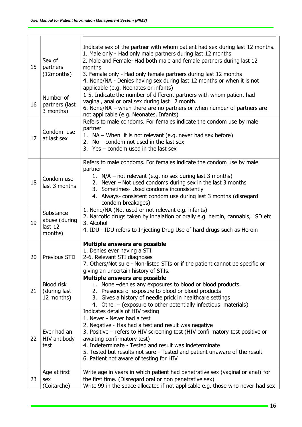| 15 | Sex of<br>partners<br>(12months)<br>Number of    | Indicate sex of the partner with whom patient had sex during last 12 months.<br>1. Male only - Had only male partners during last 12 months<br>2. Male and Female- Had both male and female partners during last 12<br>months<br>3. Female only - Had only female partners during last 12 months<br>4. None/NA - Denies having sex during last 12 months or when it is not<br>applicable (e.g. Neonates or infants)<br>1-5. Indicate the number of different partners with whom patient had<br>vaginal, anal or oral sex during last 12 month. |
|----|--------------------------------------------------|------------------------------------------------------------------------------------------------------------------------------------------------------------------------------------------------------------------------------------------------------------------------------------------------------------------------------------------------------------------------------------------------------------------------------------------------------------------------------------------------------------------------------------------------|
| 16 | partners (last<br>3 months)                      | 6. None/NA $-$ when there are no partners or when number of partners are<br>not applicable (e.g. Neonates, Infants)                                                                                                                                                                                                                                                                                                                                                                                                                            |
| 17 | Condom use<br>at last sex                        | Refers to male condoms. For females indicate the condom use by male<br>partner<br>1. NA – When it is not relevant (e.g. never had sex before)<br>2. No $-$ condom not used in the last sex<br>3. Yes $-$ condom used in the last sex                                                                                                                                                                                                                                                                                                           |
| 18 | Condom use<br>last 3 months                      | Refers to male condoms. For females indicate the condom use by male<br>partner<br>1. $N/A$ – not relevant (e.g. no sex during last 3 months)<br>2. Never $-$ Not used condoms during sex in the last 3 months<br>3. Sometimes- Used condoms inconsistently<br>4. Always- consistent condom use during last 3 months (disregard<br>condom breakages)                                                                                                                                                                                            |
| 19 | Substance<br>abuse (during<br>last 12<br>months) | 1. None/NA (Not used or not relevant e.g. infants)<br>2. Narcotic drugs taken by inhalation or orally e.g. heroin, cannabis, LSD etc<br>3. Alcohol<br>4. IDU - IDU refers to Injecting Drug Use of hard drugs such as Heroin                                                                                                                                                                                                                                                                                                                   |
| 20 | Previous STD                                     | Multiple answers are possible<br>1. Denies ever having a STI<br>2-6. Relevant STI diagnoses<br>7. Others/Not sure - Non-listed STIs or if the patient cannot be specific or<br>giving an uncertain history of STIs.                                                                                                                                                                                                                                                                                                                            |
| 21 | Blood risk<br>(during last)<br>12 months)        | Multiple answers are possible<br>1. None -denies any exposures to blood or blood products.<br>2. Presence of exposure to blood or blood products<br>3. Gives a history of needle prick in healthcare settings<br>4. Other – (exposure to other potentially infectious materials)                                                                                                                                                                                                                                                               |
| 22 | Ever had an<br>HIV antibody<br>test              | Indicates details of HIV testing<br>1. Never - Never had a test<br>2. Negative - Has had a test and result was negative<br>3. Positive – refers to HIV screening test (HIV confirmatory test positive or<br>awaiting confirmatory test)<br>4. Indeterminate - Tested and result was indeterminate<br>5. Tested but results not sure - Tested and patient unaware of the result<br>6. Patient not aware of testing for HIV                                                                                                                      |
| 23 | Age at first<br>sex<br>(Coitarche)               | Write age in years in which patient had penetrative sex (vaginal or anal) for<br>the first time. (Disregard oral or non penetrative sex)<br>Write 99 in the space allocated if not applicable e.g. those who never had sex                                                                                                                                                                                                                                                                                                                     |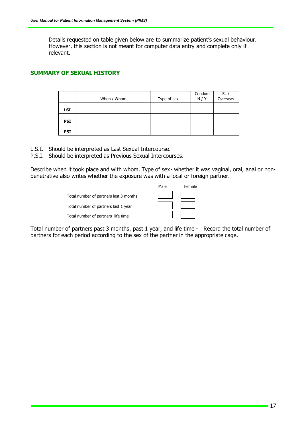Details requested on table given below are to summarize patient's sexual behaviour. However, this section is not meant for computer data entry and complete only if relevant.

#### **SUMMARY OF SEXUAL HISTORY**

|            | When / Whom | Type of sex | Condom<br>N/Y | SL.<br>Overseas |
|------------|-------------|-------------|---------------|-----------------|
| <b>LSI</b> |             |             |               |                 |
| PSI        |             |             |               |                 |
| <b>PSI</b> |             |             |               |                 |

L.S.I. Should be interpreted as Last Sexual Intercourse.

P.S.I. Should be interpreted as Previous Sexual Intercourses.

Describe when it took place and with whom. Type of sex- whether it was vaginal, oral, anal or nonpenetrative also writes whether the exposure was with a local or foreign partner.

| Male | Female                     |
|------|----------------------------|
|      |                            |
|      | and the state of the state |
|      | 1111                       |
|      |                            |

Total number of partners past 3 months, past 1 year, and life time - Record the total number of partners for each period according to the sex of the partner in the appropriate cage.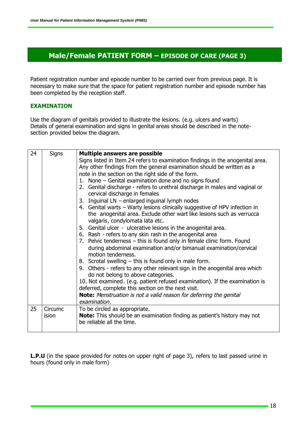# **Male/Female PATIENT FORM – EPISODE OF CARE (PAGE 3)**

Patient registration number and episode number to be carried over from previous page. It is necessary to make sure that the space for patient registration number and episode number has been completed by the reception staff.

#### **EXAMINATION**

Use the diagram of genitals provided to illustrate the lesions. (e.g. ulcers and warts) Details of general examination and signs in genital areas should be described in the notesection provided below the diagram.

| 24 | Signs   | Multiple answers are possible<br>Signs listed in Item 24 refers to examination findings in the anogenital area.<br>Any other findings from the general examination should be written as a<br>note in the section on the right side of the form.<br>1. None – Genital examination done and no signs found<br>2. Genital discharge - refers to urethral discharge in males and vaginal or<br>cervical discharge in females<br>3. Inguinal $LN$ – enlarged inguinal lymph nodes<br>4. Genital warts - Warty lesions clinically suggestive of HPV infection in<br>the anogenital area. Exclude other wart like lesions such as verrucca<br>valgaris, condylomata lata etc.<br>5. Genital ulcer - ulcerative lesions in the anogenital area.<br>6. Rash - refers to any skin rash in the anogenital area<br>7. Pelvic tenderness – this is found only in female clinic form. Found<br>during abdominal examination and/or bimanual examination/cervical<br>motion tenderness.<br>8. Scrotal swelling - this is found only in male form.<br>9. Others - refers to any other relevant sign in the anogenital area which<br>do not belong to above categories.<br>10. Not examined. (e.g. patient refused examination). If the examination is<br>deferred, complete this section on the next visit.<br><b>Note:</b> Menstruation is not a valid reason for deferring the genital<br>examination. |
|----|---------|------------------------------------------------------------------------------------------------------------------------------------------------------------------------------------------------------------------------------------------------------------------------------------------------------------------------------------------------------------------------------------------------------------------------------------------------------------------------------------------------------------------------------------------------------------------------------------------------------------------------------------------------------------------------------------------------------------------------------------------------------------------------------------------------------------------------------------------------------------------------------------------------------------------------------------------------------------------------------------------------------------------------------------------------------------------------------------------------------------------------------------------------------------------------------------------------------------------------------------------------------------------------------------------------------------------------------------------------------------------------------------------|
| 25 | Circumc | To be circled as appropriate.                                                                                                                                                                                                                                                                                                                                                                                                                                                                                                                                                                                                                                                                                                                                                                                                                                                                                                                                                                                                                                                                                                                                                                                                                                                                                                                                                            |
|    | ision   | Note: This should be an examination finding as patient's history may not<br>be reliable all the time.                                                                                                                                                                                                                                                                                                                                                                                                                                                                                                                                                                                                                                                                                                                                                                                                                                                                                                                                                                                                                                                                                                                                                                                                                                                                                    |

**L.P.U** (in the space provided for notes on upper right of page 3), refers to last passed urine in hours (found only in male form)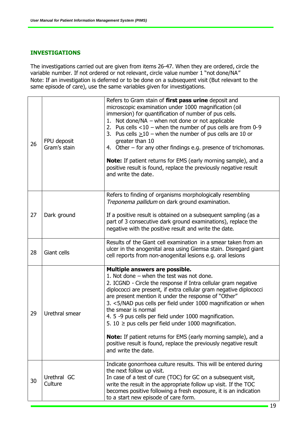#### **INVESTIGATIONS**

The investigations carried out are given from items 26-47. When they are ordered, circle the variable number. If not ordered or not relevant, circle value number 1 "not done/NA" Note: If an investigation is deferred or to be done on a subsequent visit (But relevant to the same episode of care), use the same variables given for investigations.

| 26 | FPU deposit<br>Gram's stain | Refers to Gram stain of first pass urine deposit and<br>microscopic examination under 1000 magnification (oil<br>immersion) for quantification of number of pus cells.<br>1. Not done/NA – when not done or not applicable<br>2. Pus cells $<$ 10 – when the number of pus cells are from 0-9<br>3. Pus cells $\geq$ 10 – when the number of pus cells are 10 or<br>greater than 10<br>4. Other – for any other findings e.g. presence of trichomonas.<br><b>Note:</b> If patient returns for EMS (early morning sample), and a<br>positive result is found, replace the previously negative result<br>and write the date.                                        |
|----|-----------------------------|-------------------------------------------------------------------------------------------------------------------------------------------------------------------------------------------------------------------------------------------------------------------------------------------------------------------------------------------------------------------------------------------------------------------------------------------------------------------------------------------------------------------------------------------------------------------------------------------------------------------------------------------------------------------|
| 27 | Dark ground                 | Refers to finding of organisms morphologically resembling<br>Treponema pallidum on dark ground examination.<br>If a positive result is obtained on a subsequent sampling (as a<br>part of 3 consecutive dark ground examinations), replace the<br>negative with the positive result and write the date.                                                                                                                                                                                                                                                                                                                                                           |
| 28 | Giant cells                 | Results of the Giant cell examination in a smear taken from an<br>ulcer in the anogenital area using Giemsa stain. Disregard giant<br>cell reports from non-anogenital lesions e.g. oral lesions                                                                                                                                                                                                                                                                                                                                                                                                                                                                  |
| 29 | Urethral smear              | Multiple answers are possible.<br>1. Not done $-$ when the test was not done.<br>2. ICGND - Circle the response if Intra cellular gram negative<br>diplococci are present, if extra cellular gram negative diplococci<br>are present mention it under the response of "Other"<br>3. <5/NAD pus cells per field under 1000 magnification or when<br>the smear is normal<br>4. 5 -9 pus cells per field under 1000 magnification.<br>5. $10 \ge p$ us cells per field under 1000 magnification.<br><b>Note:</b> If patient returns for EMS (early morning sample), and a<br>positive result is found, replace the previously negative result<br>and write the date. |
| 30 | Urethral GC<br>Culture      | Indicate gonorrhoea culture results. This will be entered during<br>the next follow up visit.<br>In case of a test of cure (TOC) for GC on a subsequent visit,<br>write the result in the appropriate follow up visit. If the TOC<br>becomes positive following a fresh exposure, it is an indication<br>to a start new episode of care form.                                                                                                                                                                                                                                                                                                                     |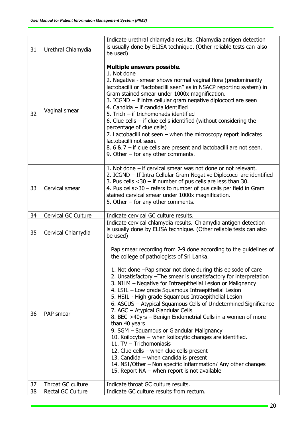| 31 | Urethral Chlamydia         | Indicate urethral chlamydia results. Chlamydia antigen detection<br>is usually done by ELISA technique. (Other reliable tests can also<br>be used)                                                                                                                                                                                                                                                                                                                                                                                                                                                                                                                                                                                                                                                                                                                                                                                                                  |
|----|----------------------------|---------------------------------------------------------------------------------------------------------------------------------------------------------------------------------------------------------------------------------------------------------------------------------------------------------------------------------------------------------------------------------------------------------------------------------------------------------------------------------------------------------------------------------------------------------------------------------------------------------------------------------------------------------------------------------------------------------------------------------------------------------------------------------------------------------------------------------------------------------------------------------------------------------------------------------------------------------------------|
| 32 | Vaginal smear              | Multiple answers possible.<br>1. Not done<br>2. Negative - smear shows normal vaginal flora (predominantly<br>lactobacilli or "lactobacilli seen" as in NSACP reporting system) in<br>Gram stained smear under 1000x magnification.<br>3. ICGND - if intra cellular gram negative diplococci are seen<br>4. Candida $-$ if candida identified<br>5. Trich $-$ if trichomonads identified<br>6. Clue cells $-$ if clue cells identified (without considering the<br>percentage of clue cells)<br>7. Lactobacilli not seen $-$ when the microscopy report indicates<br>lactobacilli not seen.<br>8. 6 & 7 – if clue cells are present and lactobacilli are not seen.<br>9. Other $-$ for any other comments.                                                                                                                                                                                                                                                          |
| 33 | Cervical smear             | 1. Not done - if cervical smear was not done or not relevant.<br>2. ICGND - If Intra Cellular Gram Negative Diplococci are identified<br>3. Pus cells $<$ 30 $-$ if number of pus cells are less than 30.<br>4. Pus cells $\geq$ 30 – refers to number of pus cells per field in Gram<br>stained cervical smear under 1000x magnification.<br>5. Other $-$ for any other comments.                                                                                                                                                                                                                                                                                                                                                                                                                                                                                                                                                                                  |
| 34 | <b>Cervical GC Culture</b> | Indicate cervical GC culture results.                                                                                                                                                                                                                                                                                                                                                                                                                                                                                                                                                                                                                                                                                                                                                                                                                                                                                                                               |
| 35 | Cervical Chlamydia         | Indicate cervical chlamydia results. Chlamydia antigen detection<br>is usually done by ELISA technique. (Other reliable tests can also<br>be used)                                                                                                                                                                                                                                                                                                                                                                                                                                                                                                                                                                                                                                                                                                                                                                                                                  |
| 36 | PAP smear                  | Pap smear recording from 2-9 done according to the guidelines of<br>the college of pathologists of Sri Lanka.<br>1. Not done -Pap smear not done during this episode of care<br>2. Unsatisfactory - The smear is unsatisfactory for interpretation<br>3. NILM - Negative for Intraepithelial Lesion or Malignancy<br>4. LSIL - Low grade Squamous Intraepithelial Lesion<br>5. HSIL - High grade Squamous Intraepithelial Lesion<br>6. ASCUS - Atypical Squamous Cells of Undetermined Significance<br>7. AGC - Atypical Glandular Cells<br>8. BEC >40yrs - Benign Endometrial Cells in a women of more<br>than 40 years<br>9. SGM - Squamous or Glandular Malignancy<br>10. Koilocytes – when koilocytic changes are identified.<br>11. TV - Trichomoniasis<br>12. Clue cells - when clue cells present<br>13. Candida $-$ when candida is present<br>14. NSI/Other - Non specific inflammation/ Any other changes<br>15. Report NA - when report is not available |
| 37 | Throat GC culture          | Indicate throat GC culture results.                                                                                                                                                                                                                                                                                                                                                                                                                                                                                                                                                                                                                                                                                                                                                                                                                                                                                                                                 |
| 38 | Rectal GC Culture          | Indicate GC culture results from rectum.                                                                                                                                                                                                                                                                                                                                                                                                                                                                                                                                                                                                                                                                                                                                                                                                                                                                                                                            |

 $-20$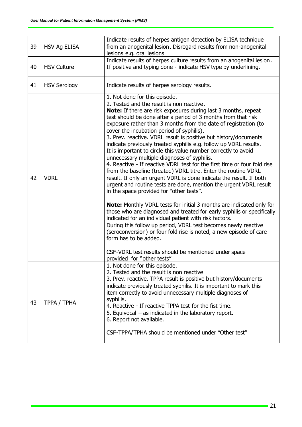| 39 | <b>HSV Ag ELISA</b> | Indicate results of herpes antigen detection by ELISA technique<br>from an anogenital lesion. Disregard results from non-anogenital<br>lesions e.g. oral lesions                                                                                                                                                                                                                                                                                                                                                                                                                                                                                                                                                                                                                                                                                                                                                                                                                                                                                                                                                                                                                                                                                                                                                                                                                                                |
|----|---------------------|-----------------------------------------------------------------------------------------------------------------------------------------------------------------------------------------------------------------------------------------------------------------------------------------------------------------------------------------------------------------------------------------------------------------------------------------------------------------------------------------------------------------------------------------------------------------------------------------------------------------------------------------------------------------------------------------------------------------------------------------------------------------------------------------------------------------------------------------------------------------------------------------------------------------------------------------------------------------------------------------------------------------------------------------------------------------------------------------------------------------------------------------------------------------------------------------------------------------------------------------------------------------------------------------------------------------------------------------------------------------------------------------------------------------|
| 40 | <b>HSV Culture</b>  | Indicate results of herpes culture results from an anogenital lesion.<br>If positive and typing done - indicate HSV type by underlining.                                                                                                                                                                                                                                                                                                                                                                                                                                                                                                                                                                                                                                                                                                                                                                                                                                                                                                                                                                                                                                                                                                                                                                                                                                                                        |
| 41 | <b>HSV Serology</b> | Indicate results of herpes serology results.                                                                                                                                                                                                                                                                                                                                                                                                                                                                                                                                                                                                                                                                                                                                                                                                                                                                                                                                                                                                                                                                                                                                                                                                                                                                                                                                                                    |
| 42 | <b>VDRL</b>         | 1. Not done for this episode.<br>2. Tested and the result is non reactive.<br><b>Note:</b> If there are risk exposures during last 3 months, repeat<br>test should be done after a period of 3 months from that risk<br>exposure rather than 3 months from the date of registration (to<br>cover the incubation period of syphilis).<br>3. Prev. reactive. VDRL result is positive but history/documents<br>indicate previously treated syphilis e.g. follow up VDRL results.<br>It is important to circle this value number correctly to avoid<br>unnecessary multiple diagnoses of syphilis.<br>4. Reactive - If reactive VDRL test for the first time or four fold rise<br>from the baseline (treated) VDRL titre. Enter the routine VDRL<br>result. If only an urgent VDRL is done indicate the result. If both<br>urgent and routine tests are done, mention the urgent VDRL result<br>in the space provided for "other tests".<br><b>Note:</b> Monthly VDRL tests for initial 3 months are indicated only for<br>those who are diagnosed and treated for early syphilis or specifically<br>indicated for an individual patient with risk factors.<br>During this follow up period, VDRL test becomes newly reactive<br>(seroconversion) or four fold rise is noted, a new episode of care<br>form has to be added.<br>CSF-VDRL test results should be mentioned under space<br>provided for "other tests" |
| 43 | TPPA / TPHA         | 1. Not done for this episode.<br>2. Tested and the result is non reactive<br>3. Prev. reactive. TPPA result is positive but history/documents<br>indicate previously treated syphilis. It is important to mark this<br>item correctly to avoid unnecessary multiple diagnoses of<br>syphilis.<br>4. Reactive - If reactive TPPA test for the fist time.<br>5. Equivocal $-$ as indicated in the laboratory report.<br>6. Report not available.<br>CSF-TPPA/TPHA should be mentioned under "Other test"                                                                                                                                                                                                                                                                                                                                                                                                                                                                                                                                                                                                                                                                                                                                                                                                                                                                                                          |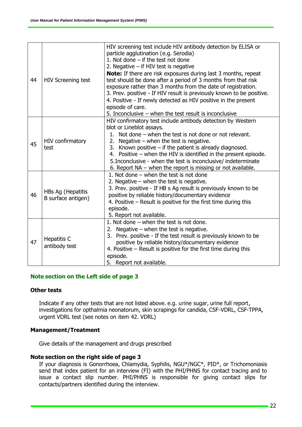| 44 | <b>HIV Screening test</b>               | HIV screening test include HIV antibody detection by ELISA or<br>particle agglutination (e.g. Serodia)<br>1. Not done $-$ if the test not done<br>2. Negative $-$ if HIV test is negative<br><b>Note:</b> If there are risk exposures during last 3 months, repeat<br>test should be done after a period of 3 months from that risk<br>exposure rather than 3 months from the date of registration.<br>3. Prev. positive - If HIV result is previously known to be positive.<br>4. Positive - If newly detected as HIV positive in the present<br>episode of care.<br>5. Inconclusive $-$ when the test result is inconclusive |
|----|-----------------------------------------|--------------------------------------------------------------------------------------------------------------------------------------------------------------------------------------------------------------------------------------------------------------------------------------------------------------------------------------------------------------------------------------------------------------------------------------------------------------------------------------------------------------------------------------------------------------------------------------------------------------------------------|
| 45 | HIV confirmatory<br>test                | HIV confirmatory test include antibody detection by Western<br>blot or Lineblot assays.<br>1. Not done – when the test is not done or not relevant.<br>2. Negative $-$ when the test is negative.<br>3. Known positive $-$ if the patient is already diagnosed.<br>4. Positive - when the HIV is identified in the present episode.<br>5. Inconclusive - when the test is inconclusive/ indeterminate<br>6. Report $NA$ – when the report is missing or not available.                                                                                                                                                         |
| 46 | HBs Ag (Hepatitis<br>B surface antigen) | 1. Not done – when the test is not done<br>2. Negative $-$ when the test is negative.<br>3. Prev. positive - If HB s Ag result is previously known to be<br>positive by reliable history/documentary evidence<br>4. Positive $-$ Result is positive for the first time during this<br>episode.<br>5. Report not available.                                                                                                                                                                                                                                                                                                     |
| 47 | Hepatitis C<br>antibody test            | 1. Not done $-$ when the test is not done.<br>Negative $-$ when the test is negative.<br>2.<br>3. Prev. positive - If the test result is previously known to be<br>positive by reliable history/documentary evidence<br>4. Positive $-$ Result is positive for the first time during this<br>episode.<br>5. Report not available.                                                                                                                                                                                                                                                                                              |

#### **Note section on the Left side of page 3**

#### **Other tests**

Indicate if any other tests that are not listed above. e.g. urine sugar, urine full report, investigations for opthalmia neonatorum, skin scrapings for candida, CSF-VDRL, CSF-TPPA, urgent VDRL test (see notes on item 42. VDRL)

#### **Management/Treatment**

Give details of the management and drugs prescribed

#### **Note section on the right side of page 3**

If your diagnosis is Gonorrhoea, Chlamydia, Syphilis, NGU\*/NGC\*, PID\*, or Trichomoniasis send that index patient for an interview (FI) with the PHI/PHNS for contact tracing and to issue a contact slip number. PHI/PHNS is responsible for giving contact slips for contacts/partners identified during the interview.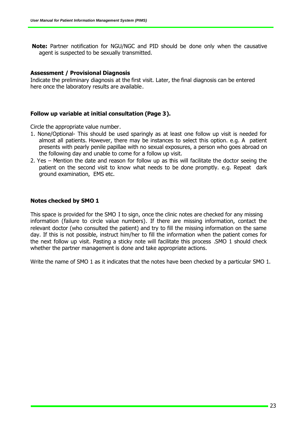**Note:** Partner notification for NGU/NGC and PID should be done only when the causative agent is suspected to be sexually transmitted.

#### **Assessment / Provisional Diagnosis**

Indicate the preliminary diagnosis at the first visit. Later, the final diagnosis can be entered here once the laboratory results are available.

#### **Follow up variable at initial consultation (Page 3).**

Circle the appropriate value number.

- 1. None/Optional- This should be used sparingly as at least one follow up visit is needed for almost all patients. However, there may be instances to select this option. e.g. A patient presents with pearly penile papillae with no sexual exposures, a person who goes abroad on the following day and unable to come for a follow up visit.
- 2. Yes Mention the date and reason for follow up as this will facilitate the doctor seeing the patient on the second visit to know what needs to be done promptly. e.g. Repeat dark ground examination, EMS etc.

#### **Notes checked by SMO 1**

This space is provided for the SMO I to sign, once the clinic notes are checked for any missing information (failure to circle value numbers). If there are missing information, contact the relevant doctor (who consulted the patient) and try to fill the missing information on the same day. If this is not possible, instruct him/her to fill the information when the patient comes for the next follow up visit. Pasting a sticky note will facilitate this process .SMO 1 should check whether the partner management is done and take appropriate actions.

Write the name of SMO 1 as it indicates that the notes have been checked by a particular SMO 1.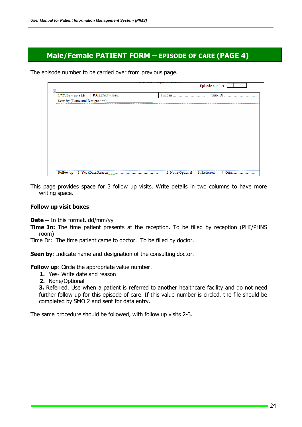# **Male/Female PATIENT FORM – EPISODE OF CARE (PAGE 4)**

The episode number to be carried over from previous page.

|                                 |                                | <b>WITH ATD Phone of this</b> | Episode number          |
|---------------------------------|--------------------------------|-------------------------------|-------------------------|
| 1 <sup>st</sup> Follow up visit | $\mathbf{DATE}(dd/mm/yy)$      | Time in $\dots$               | Time Dr                 |
| Seen by (Name and Designation)  |                                |                               |                         |
|                                 |                                |                               |                         |
|                                 |                                |                               |                         |
|                                 |                                |                               |                         |
|                                 |                                |                               |                         |
|                                 |                                |                               |                         |
|                                 |                                |                               |                         |
|                                 |                                |                               |                         |
|                                 |                                |                               |                         |
|                                 |                                |                               |                         |
|                                 |                                |                               |                         |
|                                 |                                |                               |                         |
|                                 |                                |                               |                         |
|                                 | Follow up 1. Yes (Date/Reason) | 2. None/Optional              | 3. Referred<br>4. Other |

This page provides space for 3 follow up visits. Write details in two columns to have more writing space.

#### **Follow up visit boxes**

**Date –** In this format. dd/mm/yy

**Time In:** The time patient presents at the reception. To be filled by reception (PHI/PHNS room)

Time Dr: The time patient came to doctor. To be filled by doctor.

**Seen by:** Indicate name and designation of the consulting doctor.

**Follow up**: Circle the appropriate value number.

- **1.** Yes- Write date and reason
- **2.** None/Optional

**3.** Referred. Use when a patient is referred to another healthcare facility and do not need further follow up for this episode of care. If this value number is circled, the file should be completed by SMO 2 and sent for data entry.

The same procedure should be followed, with follow up visits 2-3.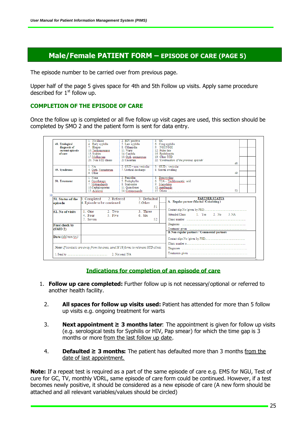# **Male/Female PATIENT FORM – EPISODE OF CARE (PAGE 5)**

The episode number to be carried over from previous page.

Upper half of the page 5 gives space for 4th and 5th Follow up visits. Apply same procedure described for  $1<sup>st</sup>$  follow up.

#### **COMPLETION OF THE EPISODE OF CARE**

Once the follow up is completed or all five follow up visit cages are used, this section should be completed by SMO 2 and the patient form is sent for data entry.

| 48. Etiological<br>diagnosis of<br>current episode<br>of care                                          | 1. No illness<br>4. Early syphilis<br>7. Herpes<br>10. Trichomoniasis<br>13. Scabies<br>17. Molluscum<br>20 Non STD illness | 2. HIV positive<br>5. Late syphilis<br>8. Chlamydia<br>11 Warts<br>14 Candida<br>18. Opth. neonatorum<br>21 Uncertain | $3-GC$<br>6. Cong syphilis<br>9 NGLNSGI<br>12. Pubic lice<br>16. Epididymitis<br>19 Other STD | 22. 'Continuation of the previous episode'<br>48                  |
|--------------------------------------------------------------------------------------------------------|-----------------------------------------------------------------------------------------------------------------------------|-----------------------------------------------------------------------------------------------------------------------|-----------------------------------------------------------------------------------------------|-------------------------------------------------------------------|
| 49. Syndrome                                                                                           | $1. N_A$<br>4. Opth. Neonatorum<br>9. Other                                                                                 | 2. GUD-non vesicular<br>7. Urethral discharge                                                                         |                                                                                               | 3 GUD - vesicular<br>8. Scrotal swelling<br>49                    |
| 50. Treatment                                                                                          | 1 None<br>4. Cryotherapy<br>7. Metranidazole<br>10.Cephalosporins<br>13. Aciclovir                                          | 2. Penicillin<br>5. Podophyllin<br>8 Scabicides<br>11. Ouinolones<br>14. Cotrimoxazole                                | 3. Doxycycline<br>9. Macrolides.<br>12. Antifungals                                           | 6. TCA - Trichloroacetic acid<br>50                               |
| 51. Status of the<br>episode                                                                           | 1. Completed 2. Referred<br>4. Episode to be continued                                                                      | 3. Defaulted<br>5 Other                                                                                               | -51                                                                                           | <b>PARTNER STATUS</b><br>A. Regular partner (Marital /Cohabiting) |
| 52. No of visits                                                                                       | $2$ Two<br>$1$ One<br>4 Four<br>5. Five<br>7 Seven                                                                          | 3 Three<br>$6.$ Six                                                                                                   | 52                                                                                            | Attended Clinic 1. Yes 2. No 3. NA                                |
| <b>Final check by</b><br>(SMO 2)                                                                       |                                                                                                                             |                                                                                                                       |                                                                                               | B. Non-regular partners / Commercial partners                     |
| Date $(dd/mm/yy)$<br>Note: If contacts are away from the area, send H 18 forms to relevant STD clinic. |                                                                                                                             |                                                                                                                       |                                                                                               |                                                                   |
|                                                                                                        |                                                                                                                             |                                                                                                                       |                                                                                               |                                                                   |

#### **Indications for completion of an episode of care**

- 1. **Follow up care completed:** Further follow up is not necessary/optional or referred to another health facility.
	- 2. **All spaces for follow up visits used:** Patient has attended for more than 5 follow up visits e.g. ongoing treatment for warts
	- 3. **Next appointment ≥ 3 months later**: The appointment is given for follow up visits (e.g. serological tests for Syphilis or HIV, Pap smear) for which the time gap is 3 months or more from the last follow up date.
	- 4. **Defaulted ≥ 3 months:** The patient has defaulted more than 3 months from the date of last appointment.

**Note:** If a repeat test is required as a part of the same episode of care e.g. EMS for NGU, Test of cure for GC, TV, monthly VDRL, same episode of care form could be continued. However, if a test becomes newly positive, it should be considered as a new episode of care (A new form should be attached and all relevant variables/values should be circled)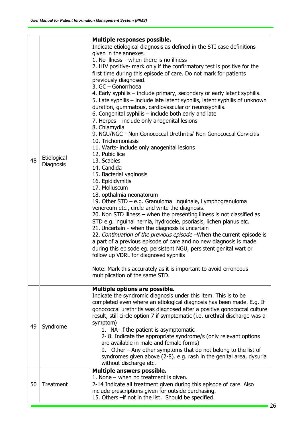|    |                                 | Multiple responses possible.                                                                                                                                                                                                                                                                                                                                                                                                                                                                                                                                                                                                                                                                                                                                                                                                                                                                                                                                                                                                                                                                                                                                                                                                                                                                                                                                                                                                                                                                                                                                                                                                                                     |
|----|---------------------------------|------------------------------------------------------------------------------------------------------------------------------------------------------------------------------------------------------------------------------------------------------------------------------------------------------------------------------------------------------------------------------------------------------------------------------------------------------------------------------------------------------------------------------------------------------------------------------------------------------------------------------------------------------------------------------------------------------------------------------------------------------------------------------------------------------------------------------------------------------------------------------------------------------------------------------------------------------------------------------------------------------------------------------------------------------------------------------------------------------------------------------------------------------------------------------------------------------------------------------------------------------------------------------------------------------------------------------------------------------------------------------------------------------------------------------------------------------------------------------------------------------------------------------------------------------------------------------------------------------------------------------------------------------------------|
| 48 | Etiological<br><b>Diagnosis</b> | Indicate etiological diagnosis as defined in the STI case definitions<br>given in the annexes.<br>1. No illness $-$ when there is no illness<br>2. HIV positive- mark only if the confirmatory test is positive for the<br>first time during this episode of care. Do not mark for patients<br>previously diagnosed.<br>3. GC - Gonorrhoea<br>4. Early syphilis – include primary, secondary or early latent syphilis.<br>5. Late syphilis – include late latent syphilis, latent syphilis of unknown<br>duration, gummatous, cardiovascular or neurosyphilis.<br>6. Congenital syphilis - include both early and late<br>7. Herpes – include only anogenital lesions<br>8. Chlamydia<br>9. NGU/NGC - Non Gonococcal Urethritis/ Non Gonococcal Cervicitis<br>10. Trichomoniasis<br>11. Warts- include only anogenital lesions<br>12. Pubic lice<br>13. Scabies<br>14. Candida<br>15. Bacterial vaginosis<br>16. Epididymitis<br>17. Molluscum<br>18. opthalmia neonatorum<br>19. Other STD - e.g. Granuloma inguinale, Lymphogranuloma<br>venereum etc., circle and write the diagnosis.<br>20. Non STD illness – when the presenting illness is not classified as<br>STD e.g. inguinal hernia, hydrocele, psoriasis, lichen planus etc.<br>21. Uncertain - when the diagnosis is uncertain<br>22. Continuation of the previous episode -When the current episode is<br>a part of a previous episode of care and no new diagnosis is made<br>during this episode eg. persistent NGU, persistent genital wart or<br>follow up VDRL for diagnosed syphilis<br>Note: Mark this accurately as it is important to avoid erroneous<br>multiplication of the same STD. |
| 49 | Syndrome                        | Multiple options are possible.<br>Indicate the syndromic diagnosis under this item. This is to be<br>completed even where an etiological diagnosis has been made. E.g. If<br>gonococcal urethritis was diagnosed after a positive gonococcal culture<br>result, still circle option 7 if symptomatic (i.e. urethral discharge was a<br>symptom)<br>1. NA- if the patient is asymptomatic<br>2-8. Indicate the appropriate syndrome/s (only relevant options<br>are available in male and female forms)<br>9. Other $-$ Any other symptoms that do not belong to the list of<br>syndromes given above (2-8). e.g. rash in the genital area, dysuria<br>without discharge etc.                                                                                                                                                                                                                                                                                                                                                                                                                                                                                                                                                                                                                                                                                                                                                                                                                                                                                                                                                                                     |
| 50 | <b>Treatment</b>                | Multiple answers possible.<br>1. None $-$ when no treatment is given.<br>2-14 Indicate all treatment given during this episode of care. Also<br>include prescriptions given for outside purchasing.<br>15. Others -if not in the list. Should be specified.                                                                                                                                                                                                                                                                                                                                                                                                                                                                                                                                                                                                                                                                                                                                                                                                                                                                                                                                                                                                                                                                                                                                                                                                                                                                                                                                                                                                      |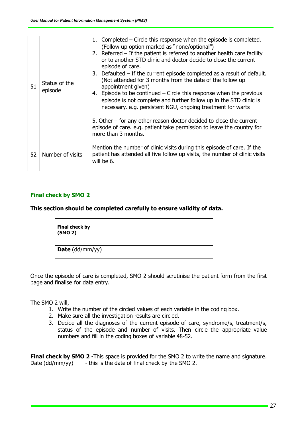|    |                  | 1. Completed – Circle this response when the episode is completed.          |
|----|------------------|-----------------------------------------------------------------------------|
|    |                  | (Follow up option marked as "none/optional")                                |
|    |                  | 2. Referred $-$ If the patient is referred to another health care facility  |
|    |                  | or to another STD clinic and doctor decide to close the current             |
|    |                  | episode of care.                                                            |
|    |                  | 3. Defaulted $-$ If the current episode completed as a result of default.   |
|    | Status of the    | (Not attended for 3 months from the date of the follow up                   |
| 51 | episode          | appointment given)                                                          |
|    |                  | 4. Episode to be continued $-$ Circle this response when the previous       |
|    |                  | episode is not complete and further follow up in the STD clinic is          |
|    |                  | necessary. e.g. persistent NGU, ongoing treatment for warts                 |
|    |                  |                                                                             |
|    |                  | 5. Other $-$ for any other reason doctor decided to close the current       |
|    |                  | episode of care. e.g. patient take permission to leave the country for      |
|    |                  | more than 3 months.                                                         |
|    |                  |                                                                             |
| 52 |                  | Mention the number of clinic visits during this episode of care. If the     |
|    | Number of visits | patient has attended all five follow up visits, the number of clinic visits |
|    |                  | will be 6.                                                                  |
|    |                  |                                                                             |

#### **Final check by SMO 2**

**This section should be completed carefully to ensure validity of data.**

| <b>Final check by</b><br>(SMO 2) |  |
|----------------------------------|--|
| <b>Date</b> $(dd/mm/yy)$         |  |

Once the episode of care is completed, SMO 2 should scrutinise the patient form from the first page and finalise for data entry.

The SMO 2 will,

- 1. Write the number of the circled values of each variable in the coding box.
- 2. Make sure all the investigation results are circled.
- 3. Decide all the diagnoses of the current episode of care, syndrome/s, treatment/s, status of the episode and number of visits. Then circle the appropriate value numbers and fill in the coding boxes of variable 48-52.

**Final check by SMO 2** -This space is provided for the SMO 2 to write the name and signature. Date  $(dd/\text{mm/yy})$  - this is the date of final check by the SMO 2.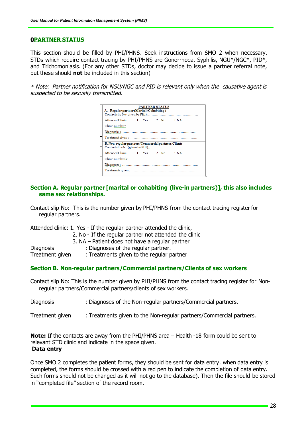#### **0PARTNER STATUS**

This section should be filled by PHI/PHNS. Seek instructions from SMO 2 when necessary. STDs which require contact tracing by PHI/PHNS are Gonorrhoea, Syphilis, NGU\*/NGC\*, PID\*, and Trichomoniasis. (For any other STDs, doctor may decide to issue a partner referral note, but these should **not** be included in this section)

\* Note: Partner notification for NGU/NGC and PID is relevant only when the causative agent is suspected to be sexually transmitted.



#### **Section A. Regular partner [marital or cohabiting (live-in partners)], this also includes same sex relationships.**

Contact slip No: This is the number given by PHI/PHNS from the contact tracing register for regular partners.

Attended clinic: 1. Yes - If the regular partner attended the clinic,

2. No - If the regular partner not attended the clinic

3. NA – Patient does not have a regular partner

Diagnosis : Diagnoses of the regular partner.

Treatment given : Treatments given to the regular partner

#### **Section B. Non-regular partners/Commercial partners/Clients of sex workers**

Contact slip No: This is the number given by PHI/PHNS from the contact tracing register for Nonregular partners/Commercial partners/clients of sex workers.

Diagnosis : Diagnoses of the Non-regular partners/Commercial partners.

Treatment given : Treatments given to the Non-regular partners/Commercial partners.

**Note:** If the contacts are away from the PHI/PHNS area – Health -18 form could be sent to relevant STD clinic and indicate in the space given. **Data entry**

Once SMO 2 completes the patient forms, they should be sent for data entry. when data entry is completed, the forms should be crossed with a red pen to indicate the completion of data entry. Such forms should not be changed as it will not go to the database). Then the file should be stored in "completed file" section of the record room.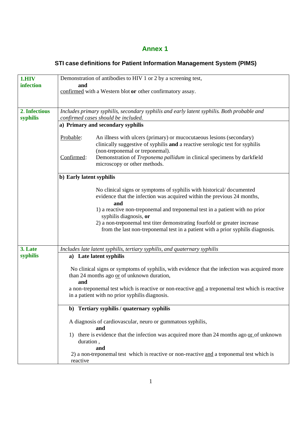### **Annex 1**

# **STI case definitions for Patient Information Management System (PIMS)**

| 1.HIV         | Demonstration of antibodies to HIV 1 or 2 by a screening test, |                                                                                                 |  |  |
|---------------|----------------------------------------------------------------|-------------------------------------------------------------------------------------------------|--|--|
| infection     | and                                                            |                                                                                                 |  |  |
|               | confirmed with a Western blot or other confirmatory assay.     |                                                                                                 |  |  |
|               |                                                                |                                                                                                 |  |  |
|               |                                                                |                                                                                                 |  |  |
| 2. Infectious |                                                                | Includes primary syphilis, secondary syphilis and early latent syphilis. Both probable and      |  |  |
| syphilis      |                                                                | confirmed cases should be included.                                                             |  |  |
|               |                                                                |                                                                                                 |  |  |
|               |                                                                | a) Primary and secondary syphilis                                                               |  |  |
|               |                                                                |                                                                                                 |  |  |
|               | Probable:                                                      | An illness with ulcers (primary) or mucocutaeous lesions (secondary)                            |  |  |
|               |                                                                | clinically suggestive of syphilis and a reactive serologic test for syphilis                    |  |  |
|               |                                                                | (non-treponemal or treponemal).                                                                 |  |  |
|               | Confirmed:                                                     | Demonstration of Treponema pallidum in clinical specimens by darkfield                          |  |  |
|               |                                                                | microscopy or other methods.                                                                    |  |  |
|               |                                                                |                                                                                                 |  |  |
|               | b) Early latent syphilis                                       |                                                                                                 |  |  |
|               |                                                                |                                                                                                 |  |  |
|               |                                                                | No clinical signs or symptoms of syphilis with historical/documented                            |  |  |
|               |                                                                | evidence that the infection was acquired within the previous 24 months,                         |  |  |
|               |                                                                | and                                                                                             |  |  |
|               |                                                                | 1) a reactive non-treponemal and treponemal test in a patient with no prior                     |  |  |
|               |                                                                | syphilis diagnosis, or                                                                          |  |  |
|               |                                                                | 2) a non-treponemal test titer demonstrating fourfold or greater increase                       |  |  |
|               |                                                                |                                                                                                 |  |  |
|               |                                                                | from the last non-treponemal test in a patient with a prior syphilis diagnosis.                 |  |  |
|               |                                                                |                                                                                                 |  |  |
| 3. Late       |                                                                | Includes late latent syphilis, tertiary syphilis, and quaternary syphilis                       |  |  |
| syphilis      | a) Late latent syphilis                                        |                                                                                                 |  |  |
|               |                                                                |                                                                                                 |  |  |
|               |                                                                | No clinical signs or symptoms of syphilis, with evidence that the infection was acquired more   |  |  |
|               |                                                                | than 24 months ago or of unknown duration,                                                      |  |  |
|               | and                                                            |                                                                                                 |  |  |
|               |                                                                | a non-treponemal test which is reactive or non-reactive and a treponemal test which is reactive |  |  |
|               |                                                                |                                                                                                 |  |  |
|               | in a patient with no prior syphilis diagnosis.                 |                                                                                                 |  |  |
|               |                                                                | b) Tertiary syphilis / quaternary syphilis                                                      |  |  |
|               |                                                                |                                                                                                 |  |  |
|               |                                                                | A diagnosis of cardiovascular, neuro or gummatous syphilis,                                     |  |  |
|               |                                                                | and                                                                                             |  |  |
|               |                                                                |                                                                                                 |  |  |
|               | $\left( \frac{1}{2} \right)$                                   | there is evidence that the infection was acquired more than 24 months ago or of unknown         |  |  |
|               | duration,                                                      |                                                                                                 |  |  |
|               |                                                                | and                                                                                             |  |  |
|               |                                                                | 2) a non-treponemal test which is reactive or non-reactive and a treponemal test which is       |  |  |
|               | reactive                                                       |                                                                                                 |  |  |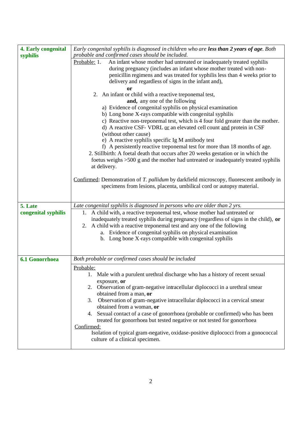| 4. Early congenital<br>syphilis | Early congenital syphilis is diagnosed in children who are less than 2 years of age. Both<br>probable and confirmed cases should be included.<br>An infant whose mother had untreated or inadequately treated syphilis<br>Probable: 1.<br>during pregnancy (includes an infant whose mother treated with non-<br>penicillin regimens and was treated for syphilis less than 4 weeks prior to<br>delivery and regardless of signs in the infant and),<br>or<br>2. An infant or child with a reactive treponemal test,<br>and, any one of the following<br>a) Evidence of congenital syphilis on physical examination<br>b) Long bone X-rays compatible with congenital syphilis<br>c) Reactive non-treponemal test, which is 4 four fold greater than the mother.<br>d) A reactive CSF- VDRL or an elevated cell count and protein in CSF<br>(without other cause)<br>e) A reactive syphilis specific Ig M antibody test<br>f) A persistently reactive treponemal test for more than 18 months of age.<br>2. Stillbirth: A foetal death that occurs after 20 weeks gestation or in which the<br>foetus weighs >500 g and the mother had untreated or inadequately treated syphilis<br>at delivery.<br>Confirmed: Demonstration of T. pallidum by darkfield microscopy, fluorescent antibody in |
|---------------------------------|-----------------------------------------------------------------------------------------------------------------------------------------------------------------------------------------------------------------------------------------------------------------------------------------------------------------------------------------------------------------------------------------------------------------------------------------------------------------------------------------------------------------------------------------------------------------------------------------------------------------------------------------------------------------------------------------------------------------------------------------------------------------------------------------------------------------------------------------------------------------------------------------------------------------------------------------------------------------------------------------------------------------------------------------------------------------------------------------------------------------------------------------------------------------------------------------------------------------------------------------------------------------------------------------------|
|                                 | specimens from lesions, placenta, umbilical cord or autopsy material.                                                                                                                                                                                                                                                                                                                                                                                                                                                                                                                                                                                                                                                                                                                                                                                                                                                                                                                                                                                                                                                                                                                                                                                                                         |
| 5. Late<br>congenital syphilis  | Late congenital syphilis is diagnosed in persons who are older than 2 yrs.<br>1. A child with, a reactive treponemal test, whose mother had untreated or<br>inadequately treated syphilis during pregnancy (regardless of signs in the child), or<br>2. A child with a reactive treponemal test and any one of the following<br>a. Evidence of congenital syphilis on physical examination<br>b. Long bone X-rays compatible with congenital syphilis                                                                                                                                                                                                                                                                                                                                                                                                                                                                                                                                                                                                                                                                                                                                                                                                                                         |
| <b>6.1 Gonorrhoea</b>           | Both probable or confirmed cases should be included                                                                                                                                                                                                                                                                                                                                                                                                                                                                                                                                                                                                                                                                                                                                                                                                                                                                                                                                                                                                                                                                                                                                                                                                                                           |
|                                 | Probable:<br>1. Male with a purulent urethral discharge who has a history of recent sexual<br>exposure, or<br>Observation of gram-negative intracellular diplococci in a urethral smear<br>2.<br>obtained from a man, or<br>Observation of gram-negative intracellular diplococci in a cervical smear<br>3.<br>obtained from a woman, or<br>4. Sexual contact of a case of gonorrhoea (probable or confirmed) who has been<br>treated for gonorrhoea but tested negative or not tested for gonorrhoea<br>Confirmed:<br>Isolation of typical gram-negative, oxidase-positive diplococci from a gonococcal<br>culture of a clinical specimen.                                                                                                                                                                                                                                                                                                                                                                                                                                                                                                                                                                                                                                                   |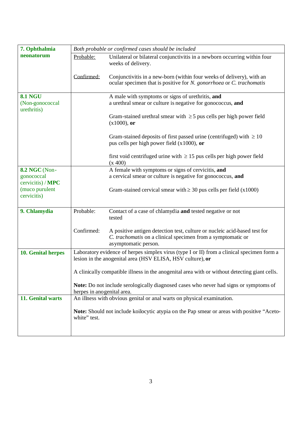| 7. Ophthalmia                                    | Both probable or confirmed cases should be included |                                                                                                                                                                  |  |  |  |  |  |  |
|--------------------------------------------------|-----------------------------------------------------|------------------------------------------------------------------------------------------------------------------------------------------------------------------|--|--|--|--|--|--|
| neonatorum                                       | Probable:                                           | Unilateral or bilateral conjunctivitis in a newborn occurring within four<br>weeks of delivery.                                                                  |  |  |  |  |  |  |
|                                                  | Confirmed:                                          | Conjunctivitis in a new-born (within four weeks of delivery), with an<br>ocular specimen that is positive for N. gonorrhoea or C. trachomatis                    |  |  |  |  |  |  |
| <b>8.1 NGU</b><br>(Non-gonococcal<br>urethritis) |                                                     | A male with symptoms or signs of urethritis, and<br>a urethral smear or culture is negative for gonococcus, and                                                  |  |  |  |  |  |  |
|                                                  |                                                     | Gram-stained urethral smear with $\geq$ 5 pus cells per high power field<br>$(x1000)$ , or                                                                       |  |  |  |  |  |  |
|                                                  |                                                     | Gram-stained deposits of first passed urine (centrifuged) with $\geq 10$<br>pus cells per high power field $(x1000)$ , or                                        |  |  |  |  |  |  |
|                                                  |                                                     | first void centrifuged urine with $\geq 15$ pus cells per high power field<br>(x 400)                                                                            |  |  |  |  |  |  |
| 8.2 NGC (Non-<br>gonococcal<br>cervicitis) / MPC |                                                     | A female with symptoms or signs of cervicitis, and<br>a cervical smear or culture is negative for gonococcus, and                                                |  |  |  |  |  |  |
| (muco purulent<br>cervicitis)                    |                                                     | Gram-stained cervical smear with $\geq$ 30 pus cells per field (x1000)                                                                                           |  |  |  |  |  |  |
| 9. Chlamydia                                     | Probable:                                           | Contact of a case of chlamydia and tested negative or not<br>tested                                                                                              |  |  |  |  |  |  |
|                                                  | Confirmed:                                          | A positive antigen detection test, culture or nucleic acid-based test for<br>C. trachomatis on a clinical specimen from a symptomatic or<br>asymptomatic person. |  |  |  |  |  |  |
| <b>10. Genital herpes</b>                        |                                                     | Laboratory evidence of herpes simplex virus (type I or II) from a clinical specimen form a<br>lesion in the anogenital area (HSV ELISA, HSV culture), or         |  |  |  |  |  |  |
|                                                  |                                                     | A clinically compatible illness in the anogenital area with or without detecting giant cells.                                                                    |  |  |  |  |  |  |
|                                                  | herpes in anogenital area.                          | <b>Note:</b> Do not include serologically diagnosed cases who never had signs or symptoms of                                                                     |  |  |  |  |  |  |
| 11. Genital warts                                |                                                     | An illness with obvious genital or anal warts on physical examination.                                                                                           |  |  |  |  |  |  |
|                                                  | white" test.                                        | Note: Should not include koilocytic atypia on the Pap smear or areas with positive "Aceto-                                                                       |  |  |  |  |  |  |
|                                                  |                                                     |                                                                                                                                                                  |  |  |  |  |  |  |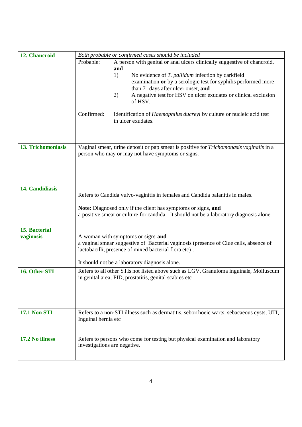| 12. Chancroid       | Both probable or confirmed cases should be included |                                                                                           |  |  |  |  |  |
|---------------------|-----------------------------------------------------|-------------------------------------------------------------------------------------------|--|--|--|--|--|
|                     | Probable:                                           | A person with genital or anal ulcers clinically suggestive of chancroid,                  |  |  |  |  |  |
|                     |                                                     | and                                                                                       |  |  |  |  |  |
|                     |                                                     | 1)<br>No evidence of T. pallidum infection by darkfield                                   |  |  |  |  |  |
|                     |                                                     | examination or by a serologic test for syphilis performed more                            |  |  |  |  |  |
|                     |                                                     | than 7 days after ulcer onset, and                                                        |  |  |  |  |  |
|                     |                                                     | A negative test for HSV on ulcer exudates or clinical exclusion<br>2)                     |  |  |  |  |  |
|                     |                                                     | of HSV.                                                                                   |  |  |  |  |  |
|                     | Confirmed:                                          | Identification of Haemophilus ducreyi by culture or nucleic acid test                     |  |  |  |  |  |
|                     |                                                     | in ulcer exudates.                                                                        |  |  |  |  |  |
|                     |                                                     |                                                                                           |  |  |  |  |  |
|                     |                                                     |                                                                                           |  |  |  |  |  |
|                     |                                                     |                                                                                           |  |  |  |  |  |
| 13. Trichomoniasis  |                                                     | Vaginal smear, urine deposit or pap smear is positive for Trichomonasis vaginalis in a    |  |  |  |  |  |
|                     |                                                     | person who may or may not have symptoms or signs.                                         |  |  |  |  |  |
|                     |                                                     |                                                                                           |  |  |  |  |  |
|                     |                                                     |                                                                                           |  |  |  |  |  |
|                     |                                                     |                                                                                           |  |  |  |  |  |
| 14. Candidiasis     |                                                     |                                                                                           |  |  |  |  |  |
|                     |                                                     | Refers to Candida vulvo-vaginitis in females and Candida balanitis in males.              |  |  |  |  |  |
|                     |                                                     |                                                                                           |  |  |  |  |  |
|                     |                                                     | Note: Diagnosed only if the client has symptoms or signs, and                             |  |  |  |  |  |
|                     |                                                     | a positive smear or culture for candida. It should not be a laboratory diagnosis alone.   |  |  |  |  |  |
|                     |                                                     |                                                                                           |  |  |  |  |  |
| 15. Bacterial       |                                                     |                                                                                           |  |  |  |  |  |
| vaginosis           |                                                     | A woman with symptoms or signs and                                                        |  |  |  |  |  |
|                     |                                                     | a vaginal smear suggestive of Bacterial vaginosis (presence of Clue cells, absence of     |  |  |  |  |  |
|                     |                                                     | lactobacilli, presence of mixed bacterial flora etc).                                     |  |  |  |  |  |
|                     |                                                     |                                                                                           |  |  |  |  |  |
|                     |                                                     | It should not be a laboratory diagnosis alone.                                            |  |  |  |  |  |
| 16. Other STI       |                                                     | Refers to all other STIs not listed above such as LGV, Granuloma inguinale, Molluscum     |  |  |  |  |  |
|                     |                                                     | in genital area, PID, prostatitis, genital scabies etc                                    |  |  |  |  |  |
|                     |                                                     |                                                                                           |  |  |  |  |  |
|                     |                                                     |                                                                                           |  |  |  |  |  |
|                     |                                                     |                                                                                           |  |  |  |  |  |
|                     |                                                     |                                                                                           |  |  |  |  |  |
| <b>17.1 Non STI</b> | Inguinal hernia etc                                 | Refers to a non-STI illness such as dermatitis, seborrhoeic warts, sebacaeous cysts, UTI, |  |  |  |  |  |
|                     |                                                     |                                                                                           |  |  |  |  |  |
|                     |                                                     |                                                                                           |  |  |  |  |  |
| 17.2 No illness     |                                                     | Refers to persons who come for testing but physical examination and laboratory            |  |  |  |  |  |
|                     | investigations are negative.                        |                                                                                           |  |  |  |  |  |
|                     |                                                     |                                                                                           |  |  |  |  |  |
|                     |                                                     |                                                                                           |  |  |  |  |  |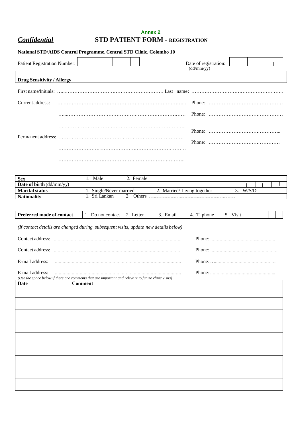#### **Annex 2** *Confidential* **STD PATIENT FORM - REGISTRATION**

| National STD/AIDS Control Programme, Central STD Clinic, Colombo 10                                                    |                |                         |  |           |          |                            |          |          |  |
|------------------------------------------------------------------------------------------------------------------------|----------------|-------------------------|--|-----------|----------|----------------------------|----------|----------|--|
| Patient Registration Number:                                                                                           |                |                         |  |           |          | Date of registration:      |          |          |  |
|                                                                                                                        |                |                         |  |           |          | (dd/mm/yy)                 |          |          |  |
| <b>Drug Sensitivity / Allergy</b>                                                                                      |                |                         |  |           |          |                            |          |          |  |
|                                                                                                                        |                |                         |  |           |          |                            |          |          |  |
| Current address:                                                                                                       |                |                         |  |           |          |                            |          |          |  |
|                                                                                                                        |                |                         |  |           |          |                            |          |          |  |
|                                                                                                                        |                |                         |  |           |          |                            |          |          |  |
|                                                                                                                        |                |                         |  |           |          |                            |          |          |  |
|                                                                                                                        |                |                         |  |           |          |                            |          |          |  |
|                                                                                                                        |                |                         |  |           |          |                            |          |          |  |
| <b>Sex</b>                                                                                                             |                | 1. Male                 |  | 2. Female |          |                            |          |          |  |
| Date of birth (dd/mm/yy)                                                                                               |                |                         |  |           |          |                            |          |          |  |
| <b>Marital status</b>                                                                                                  |                | 1. Single/Never married |  |           |          | 2. Married/Living together |          | 3. W/S/D |  |
| <b>Nationality</b>                                                                                                     |                | 1. Sri Lankan           |  |           |          | $\overline{2.}$ Others     |          |          |  |
|                                                                                                                        |                |                         |  |           |          |                            |          |          |  |
|                                                                                                                        |                |                         |  |           |          |                            |          |          |  |
| Preferred mode of contact                                                                                              |                | 1. Do not contact       |  | 2. Letter | 3. Email | 4. T. phone                | 5. Visit |          |  |
| (If contact details are changed during subsequent visits, update new details below)                                    |                |                         |  |           |          |                            |          |          |  |
|                                                                                                                        |                |                         |  |           |          |                            |          |          |  |
|                                                                                                                        |                |                         |  |           |          |                            |          |          |  |
| E-mail address:                                                                                                        |                |                         |  |           |          |                            |          |          |  |
| E-mail address:<br>(Use the space below if there are comments that are important and relevant to future clinic visits) |                |                         |  |           |          |                            |          |          |  |
| Date                                                                                                                   | <b>Comment</b> |                         |  |           |          |                            |          |          |  |
|                                                                                                                        |                |                         |  |           |          |                            |          |          |  |
|                                                                                                                        |                |                         |  |           |          |                            |          |          |  |
|                                                                                                                        |                |                         |  |           |          |                            |          |          |  |
|                                                                                                                        |                |                         |  |           |          |                            |          |          |  |
|                                                                                                                        |                |                         |  |           |          |                            |          |          |  |
|                                                                                                                        |                |                         |  |           |          |                            |          |          |  |
|                                                                                                                        |                |                         |  |           |          |                            |          |          |  |
|                                                                                                                        |                |                         |  |           |          |                            |          |          |  |
|                                                                                                                        |                |                         |  |           |          |                            |          |          |  |
|                                                                                                                        |                |                         |  |           |          |                            |          |          |  |
|                                                                                                                        |                |                         |  |           |          |                            |          |          |  |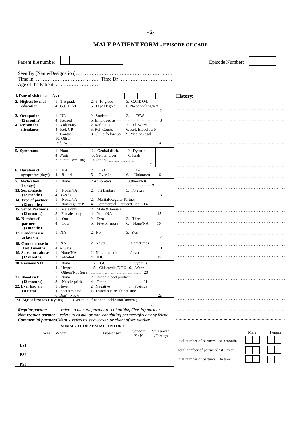#### **MALE PATIENT FORM - EPISODE OF CARE**

| Patient file number:                  |                                   |                                                              |                    |           | Episode Number: |
|---------------------------------------|-----------------------------------|--------------------------------------------------------------|--------------------|-----------|-----------------|
|                                       |                                   |                                                              |                    |           |                 |
|                                       |                                   |                                                              |                    |           |                 |
|                                       |                                   |                                                              |                    |           |                 |
|                                       |                                   |                                                              |                    |           |                 |
| 1. Date of visit $(dd/mm/yy)$         |                                   |                                                              |                    |           | <b>History:</b> |
| 2. Highest level of                   | 1. $1-5$ grade                    | 2. 6-10 grade                                                | 3. G.C.E O/L       |           |                 |
| education                             | 4. G.C.E A/L                      | 5. Dip/ Degree                                               | 6. No schooling/NA | 2         |                 |
| 3. Occupation                         | 1. UE                             | 2. Student                                                   | 3.<br><b>CSW</b>   |           |                 |
| $(12$ m onths)                        | 4. Retired                        | 5. Employed as                                               |                    | $\cdot$ 3 |                 |
| 4.<br><b>Reason for</b>               | 1. Voluntary                      | 2. Ref. OPD                                                  | 3. Ref. Ward       |           |                 |
| attendance                            | 4. Ref. GP                        | 5. Ref. Courts                                               | 6. Ref. Blood bank |           |                 |
|                                       | 7. Contact                        | 8. Clinic follow up                                          | 9. Medico-legal    |           |                 |
|                                       | 10. Other                         |                                                              |                    |           |                 |
|                                       | Ref. no                           |                                                              |                    |           |                 |
| 5. Symptoms                           | 1. None                           | 2. Genital disch.                                            | 2. Dysuria         |           |                 |
|                                       | 4. Warts                          | 5. Genital ulcer                                             | 6. Rash            |           |                 |
|                                       | 7. Scrotal swelling               | 9. Others <b>manufacturers</b>                               |                    |           |                 |
|                                       |                                   |                                                              | 5                  |           |                 |
| 6. Duration of                        | 1. NA                             | 2.<br>$1-3$                                                  | 3.<br>$4 - 7$      |           |                 |
| symptom/s(days)                       | 4. $8 - 14$                       | Over 14<br>5.                                                | 6.<br>Unknown      | 6         |                 |
| 7. Medication                         | 1. None                           | 2. Antibiotics                                               | 3.Others/NK        |           |                 |
| $(14 \text{ days})$                   |                                   |                                                              | $\cdots$ 7         |           |                 |
| 13. Sex contacts                      | 1. None/NA                        | 2. Sri Lankan                                                | 3. Foreign         |           |                 |
| $(12$ months)                         | 4. $(2&3)$                        |                                                              |                    | 13        |                 |
| 14. Type of partner                   | None/NA<br>1.                     | Marital/Regular Partner<br>2.                                |                    |           |                 |
| $(12$ months)<br>15. Sex of Partner/s | 3. Non-regular P                  | 4. Commercial Partner/Client 14<br>2. Male & Female          |                    |           |                 |
| $(12 \text{ months})$                 | 1. Male only<br>3.<br>Female only | 4. None/NA                                                   |                    | 15        |                 |
| 16. Number of                         | One<br>1.                         | 2.<br>Two                                                    | 3. Three           |           |                 |
| partners                              | 4. Four                           | 5. Five or more                                              | 6. None/NA         | 16        |                 |
| $(3$ months)                          |                                   |                                                              |                    |           |                 |
| 17. Condoms use                       | 1. NA                             | 2. No                                                        | 3. Yes             |           |                 |
| at last sex                           |                                   |                                                              |                    | 17        |                 |
| 18. Condoms use in                    | 1. NA                             | 2. Never                                                     | 3. Sometimes       |           |                 |
| last 3 months                         | 4. Always                         |                                                              |                    | 18        |                 |
| <b>19. Substance abuse</b>            | 1. None/NA                        | 2. Narcotics (Inhalation/oral)                               |                    |           |                 |
| $(12$ m onths)                        | 3. Alcohol                        | 4. IDU                                                       |                    | 19        |                 |
| <b>20. Previous STD</b>               | 1. None                           | 2. GC                                                        | 3. Syphilis        |           |                 |
|                                       | 4. Herpes                         | 5. Chlamydia/NGU 6. Warts                                    |                    |           |                 |
|                                       | 7. Others/Not Sure                |                                                              | 20                 |           |                 |
| 21. Blood risk                        | 1. None                           | 2. Blood/blood product                                       |                    |           |                 |
| $(12$ months)                         | 3. Needle prick<br>1. Never       | 4. Other $\cdots$                                            | 21                 |           |                 |
| 22. Ever had an<br><b>HIV</b> test    | 4. Indeterminate                  | 2. Negative<br>5. Tested but result not sure                 | 3. Positive        |           |                 |
|                                       | 6. Don't know                     |                                                              |                    | 22        |                 |
| 23. Age at first sex (in years)       |                                   | (Write 99 if not applicable /not known)                      |                    |           |                 |
|                                       |                                   |                                                              | 23                 |           |                 |
| Regular partner                       |                                   | - refers to marital partner or cohabiting (live-in) partner. |                    |           |                 |

*Non-regular partner - refers to casual or non-cohabiting partner /girl or boy friend. Commercial partner/Client - refersto sex worker or client of sex worker*

#### **SUMMARY OF SEXUAL HISTORY**

|            | SUMMANI OF SEAUAL HISTONI                                             |  |  |  |                                      |
|------------|-----------------------------------------------------------------------|--|--|--|--------------------------------------|
|            | Condom<br>Sri Lankan<br>Type of sex<br>When / Whom<br>/Foreign<br>Y/N |  |  |  |                                      |
| LSI        |                                                                       |  |  |  | Total number of partners last 3 mont |
| <b>PSI</b> |                                                                       |  |  |  | Total number of partners last 1 year |
| <b>PSI</b> |                                                                       |  |  |  | Total number of partners life time   |

Total number of partners last 3 months

 $\overline{\mathsf{I}}$ 

**………………………………………………………………………..**

# Male Female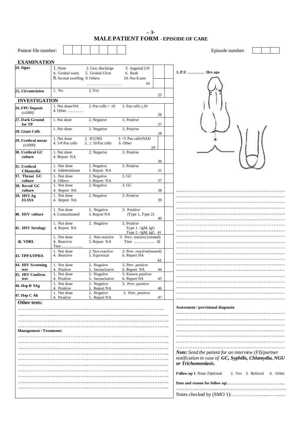**– 3-**

**MALE PATIENT FORM - EPISODE OF CARE**

| Patient file number:            |                                 |                                | THEFT LOWE                                     |    | Episode number:                                               |
|---------------------------------|---------------------------------|--------------------------------|------------------------------------------------|----|---------------------------------------------------------------|
|                                 |                                 |                                |                                                |    |                                                               |
| <b>EXAMINATION</b><br>24. Signs | 1. None                         | 2. Gen. discharge              | 3. Inguinal LN                                 |    |                                                               |
|                                 | 4. Genital warts                | 5. Genital Ulcer               | 6. Rash                                        |    | L.P.U  Hrs ago                                                |
|                                 | 8. Scrotal swelling 9. Others   |                                | 10. Not Exam                                   |    |                                                               |
|                                 |                                 |                                | 24                                             |    |                                                               |
| 25. Circumcision                | 1. No                           | 2. Yes                         |                                                |    |                                                               |
|                                 |                                 |                                |                                                | 25 |                                                               |
| <b>INVESTIGATION</b>            |                                 |                                |                                                |    |                                                               |
| 26. FPU Deposit<br>(x1000)      | 1. Not done/NA<br>4. Other      | 2. Pus cells $< 10$            | 3. Pus cells $\geq$ 10                         | 26 |                                                               |
| 27. Dark Ground<br>for TP       | 1. Not done                     | 2. Negative                    | 3. Positive                                    | 27 |                                                               |
| 28. Giant Cells                 | 1. Not done                     | 2. Negative                    | 3. Positive                                    | 28 |                                                               |
|                                 | 1. Not done                     | 2. ICGND                       | 3. <5 Pus cells/NAD                            |    |                                                               |
| 29. Urethral smear<br>(x1000)   | 4.5-9 Pus cells                 | $5. \geq 10$ Pus cells         | 6. Other                                       | 29 |                                                               |
| 30. Urethral GC                 | 1. Not done                     | 2. Negative                    | 3. Positive                                    |    |                                                               |
| culture                         | 4. Report NA                    |                                |                                                |    |                                                               |
|                                 |                                 |                                |                                                | 30 |                                                               |
| 31. Urethral<br>Chlamydia       | 1. Not done<br>4. Indeterminate | 2. Negative<br>5. Report NA    | 3. Positive                                    | 31 |                                                               |
| 37. Throat GC                   | 1. Not done                     | 2. Negative                    | 3. GC                                          |    |                                                               |
| culture                         | 4. Others                       | 5. Report NA                   |                                                | 37 |                                                               |
| 38. Rectal GC                   | 1. Not done                     | 2. Negative                    | 3. GC                                          |    |                                                               |
| culture                         | 4. Report NA                    |                                |                                                | 38 |                                                               |
| 39. HSV Ag<br><b>ELISA</b>      | 1. Not done<br>4. Report NA     | 2. Negative                    | 3. Positive                                    | 39 |                                                               |
|                                 | 1. Not done                     | 2. Negative                    | 3. Positive                                    |    |                                                               |
| 40. HSV culture                 | 4. Contaminated                 | 5. Report NA                   | (Type 1, Type 2)                               |    |                                                               |
|                                 | 1. Not done                     | 2. Negative                    | 3. Positive                                    | 40 |                                                               |
| 41. HSV Serology                | 4. Report NA                    |                                | Type 1 - lgM, lgG<br>Type $2 - lgM$ , $lgG$ 41 |    |                                                               |
|                                 | 1. Not done                     | 2. Non reactive                | 3. Prev. reactive (treated)                    |    |                                                               |
| 42. VDRL                        | 4. Reactive<br>Titre            | 5. Report NA                   |                                                |    |                                                               |
|                                 | 1. Not done                     | 2. Non reactive                | 3. Prev. reactive(treated)                     |    |                                                               |
| 43. ТРРА/ГРНА                   | 4. Reactive                     | 5. Equivocal                   | 6. Report NA                                   | 43 |                                                               |
| 44. HIV Screening               | 1. Not done                     | 2. Negative                    | 3. Prev. positive                              |    |                                                               |
| test                            | 4. Positive                     | 5. Inconclusive                | 6. Report NA                                   | 44 |                                                               |
| 45. HIV Confirm.                | 1. Not done                     | 2. Negative                    | 3. Known positive                              |    |                                                               |
| test                            | 4. Positive<br>1. Not done      | 5. Inconclusive<br>2. Negative | 6. Report NA<br>3. Prev. positive              | 45 |                                                               |
| 46. Hep B SAg                   | 4. Positive                     | 5. Report NA                   |                                                | 46 |                                                               |
| 47. Hep C Ab                    | 1. Not done                     | 2. Negative                    | 3. Prev. positive                              |    |                                                               |
|                                 | 4. Positive                     | 5. Report NA                   |                                                | 47 |                                                               |
| Other tests:                    |                                 |                                |                                                |    |                                                               |
|                                 |                                 |                                |                                                |    | <b>Assessment / provisional diagnosis:</b>                    |
|                                 |                                 |                                |                                                |    |                                                               |
|                                 |                                 |                                |                                                |    |                                                               |
|                                 |                                 |                                |                                                |    |                                                               |
| <b>Management</b> / Treatment:  |                                 |                                |                                                |    |                                                               |
|                                 |                                 |                                |                                                |    |                                                               |
|                                 |                                 |                                |                                                |    |                                                               |
|                                 |                                 |                                |                                                |    | Note: Send the patient for an interview (FI)/partner          |
|                                 |                                 |                                |                                                |    | notification in case of GC, Syphilis, Chlamydia, NGU          |
|                                 |                                 |                                |                                                |    | or Trichomoniasis.                                            |
|                                 |                                 |                                |                                                |    |                                                               |
|                                 |                                 |                                |                                                |    | Follow up 1. None /Optional<br>2. Yes 3. Referral<br>4. Other |
|                                 |                                 |                                |                                                |    |                                                               |
|                                 |                                 |                                |                                                |    |                                                               |
|                                 |                                 |                                |                                                |    |                                                               |
|                                 |                                 |                                |                                                |    |                                                               |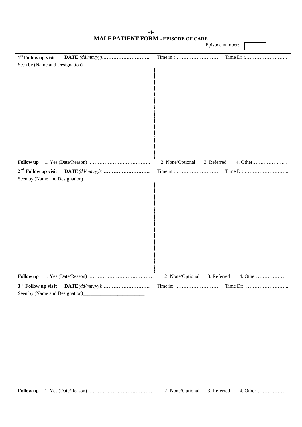#### **-4- MALE PATIENT FORM - EPISODE OF CARE**

|                                                                                                             | Episode number:                 |          |
|-------------------------------------------------------------------------------------------------------------|---------------------------------|----------|
| $1st$ Follow up visit                                                                                       |                                 |          |
| Seen by (Name and Designation)                                                                              |                                 |          |
|                                                                                                             |                                 |          |
|                                                                                                             |                                 |          |
|                                                                                                             |                                 |          |
|                                                                                                             |                                 |          |
|                                                                                                             |                                 |          |
|                                                                                                             |                                 |          |
|                                                                                                             |                                 |          |
|                                                                                                             |                                 |          |
|                                                                                                             |                                 |          |
|                                                                                                             |                                 |          |
| Follow up                                                                                                   | 2. None/Optional<br>3. Referred |          |
| $2nd$ Follow up visit<br>$\mathbf{DATE}(dd/mm/yy): \ldots \ldots \ldots \ldots \ldots \ldots \ldots \ldots$ | Time in :                       | Time Dr: |
| Seen by (Name and Designation)                                                                              |                                 |          |
|                                                                                                             |                                 |          |
|                                                                                                             |                                 |          |
|                                                                                                             |                                 |          |
|                                                                                                             |                                 |          |
|                                                                                                             |                                 |          |
|                                                                                                             |                                 |          |
|                                                                                                             |                                 |          |
|                                                                                                             |                                 |          |
|                                                                                                             |                                 |          |
|                                                                                                             |                                 |          |
| Follow up                                                                                                   | 2. None/Optional<br>3. Referred |          |
| 3 <sup>rd</sup> Follow up visit                                                                             |                                 |          |
| Seen by (Name and Designation)                                                                              |                                 |          |
|                                                                                                             |                                 |          |
|                                                                                                             |                                 |          |
|                                                                                                             |                                 |          |
|                                                                                                             |                                 |          |
|                                                                                                             |                                 |          |
|                                                                                                             |                                 |          |
|                                                                                                             |                                 |          |
|                                                                                                             |                                 |          |
|                                                                                                             |                                 |          |
|                                                                                                             |                                 |          |
|                                                                                                             |                                 |          |

**Follow up** 1. Yes (Date/Reason) ………………………………… 2. None/Optional 3. Referred 4. Other………………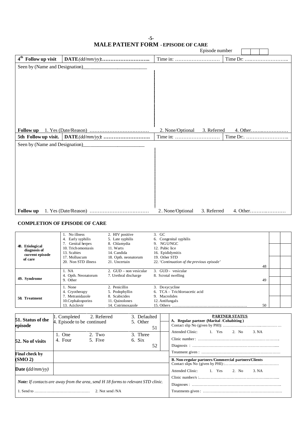#### **-5- MALE PATIENT FORM - EPISODE OF CARE**

|                                 |                                                                                                    | Episode number                  |                                                            |
|---------------------------------|----------------------------------------------------------------------------------------------------|---------------------------------|------------------------------------------------------------|
| 4 <sup>th</sup> Follow up visit | $\mathbf{DATE}(dd\text{/}\textit{mm/} \text{yy}). \dots . \dots . \dots . \dots . \dots . \dots .$ | Time in:                        |                                                            |
| Seen by (Name and Designation)  |                                                                                                    |                                 |                                                            |
|                                 |                                                                                                    |                                 |                                                            |
|                                 |                                                                                                    |                                 |                                                            |
|                                 |                                                                                                    |                                 |                                                            |
|                                 |                                                                                                    |                                 |                                                            |
|                                 |                                                                                                    |                                 |                                                            |
|                                 |                                                                                                    |                                 |                                                            |
|                                 |                                                                                                    |                                 |                                                            |
| <b>Follow up</b>                |                                                                                                    | 2. None/Optional<br>3. Referred |                                                            |
|                                 |                                                                                                    |                                 | Time Dr. $\dots \dots \dots \dots \dots \dots \dots \dots$ |
| Seen by (Name and Designation)  |                                                                                                    |                                 |                                                            |
|                                 |                                                                                                    |                                 |                                                            |
|                                 |                                                                                                    |                                 |                                                            |
|                                 |                                                                                                    |                                 |                                                            |
|                                 |                                                                                                    |                                 |                                                            |
|                                 |                                                                                                    |                                 |                                                            |
|                                 |                                                                                                    |                                 |                                                            |
|                                 |                                                                                                    |                                 |                                                            |
| <b>Follow</b> up                |                                                                                                    | 2. None/Optional<br>3. Referred | 4. Other                                                   |

#### **COMPLETION OF EPISODE OF CARE**

|                 | No illness          | 2. HIV positive          | 3. GC                                     |    |  |
|-----------------|---------------------|--------------------------|-------------------------------------------|----|--|
|                 | 4. Early syphilis   | 5. Late syphilis         | 6. Congenital syphilis                    |    |  |
|                 | 7. Genital herpes   | 8. Chlamydia             | 9. NGU/NGC                                |    |  |
| 48. Etiological | 10. Trich omoniasis | 11. Warts                | 12. Pubic lice                            |    |  |
| diagnosis of    | 13. Scabies         | 14. Candida              | 16. Epididymitis                          |    |  |
| current episode | 17. Molluscum       | 18. Opth. neonatorum     | 19. Other STD                             |    |  |
| of care         | 20. Non STD illness | 21. Uncertain            | 22. Continuation of the previous episode' |    |  |
|                 |                     |                          |                                           | 48 |  |
|                 | 1. NA               | 2. $GUD - non vesicular$ | 3. GUD - vesicular                        |    |  |
|                 | 4. Opth. Neonatorum | 7. Urethral discharge    | 8. Scrotal swelling                       |    |  |
| 49. Syndrome    | 9. Other            |                          |                                           | 49 |  |
|                 | 1. None             | 2. Penicillin            | 3. Doxycycline                            |    |  |
|                 | 4. Cryotherapy      | 5. Podophyllin           | 6. TCA - Trichloroacetic acid             |    |  |
|                 | 7. Metranidazole    | 8. Scabicides            | 9. Macrolides                             |    |  |
| 50. Treatment   | 10. Cephalosporins  | 11. Quinolones           | 12. Antifungals                           |    |  |
|                 | 13. Aciclovir       | 14. Cotrimoxazole        |                                           | 50 |  |

| 51. Status of the<br>episode                                                             | 1. Completed 2. Referred<br>4. Episode to be continued |                   | 3. Defaulted<br>5. Other<br>51 |  | <b>PARTNER STATUS</b><br>A. Regular partner (Marital /Cohabiting) |
|------------------------------------------------------------------------------------------|--------------------------------------------------------|-------------------|--------------------------------|--|-------------------------------------------------------------------|
| 52. No of visits                                                                         | 1. One<br>4. Four                                      | 2. Two<br>5. Five | 3. Three<br>$6.$ Six<br>52     |  | Attended Clinic: 1. Yes 2. No 3. NA                               |
| <b>Final check by</b><br>(SMO 2)                                                         |                                                        |                   |                                |  | <b>B. Non-regular partners/Commercial partners/Clients</b>        |
| <b>Date</b> $(dd/mm/\nu\nu)$                                                             |                                                        |                   |                                |  | Attended Clinic: 1. Yes 2. No 3. NA                               |
| <b>Note:</b> If contacts are away from the area, send H 18 forms to relevant STD clinic. |                                                        |                   |                                |  |                                                                   |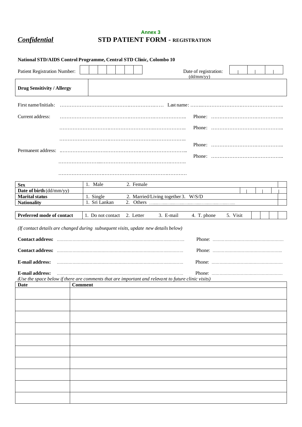#### **Annex 3** *Confidential* **STD PATIENT FORM - REGISTRATION**

| National STD/AIDS Control Programme, Central STD Clinic, Colombo 10 |                            |                                                                                                     |                                     |          |  |
|---------------------------------------------------------------------|----------------------------|-----------------------------------------------------------------------------------------------------|-------------------------------------|----------|--|
| Patient Registration Number:                                        |                            |                                                                                                     | Date of registration:<br>(dd/mm/yy) |          |  |
| <b>Drug Sensitivity / Allergy</b>                                   |                            |                                                                                                     |                                     |          |  |
|                                                                     |                            |                                                                                                     |                                     |          |  |
| Current address:                                                    |                            |                                                                                                     |                                     |          |  |
|                                                                     |                            |                                                                                                     |                                     |          |  |
|                                                                     |                            |                                                                                                     |                                     |          |  |
|                                                                     |                            |                                                                                                     |                                     |          |  |
|                                                                     |                            |                                                                                                     |                                     |          |  |
|                                                                     |                            |                                                                                                     |                                     |          |  |
| <b>Sex</b>                                                          | 1. Male                    | $\overline{2}$ . Female                                                                             |                                     |          |  |
| Date of birth (dd/mm/yy)                                            |                            |                                                                                                     |                                     |          |  |
| <b>Marital status</b>                                               | 1. Single<br>1. Sri Lankan | 2. Married/Living together 3. W/S/D                                                                 |                                     |          |  |
| <b>Nationality</b>                                                  |                            |                                                                                                     |                                     |          |  |
| Preferred mode of contact                                           | 1. Do not contact          | 2. Letter<br>3. E-mail                                                                              | 4. T. phone                         | 5. Visit |  |
|                                                                     |                            | (If contact details are changed during subsequent visits, update new details below)                 |                                     |          |  |
|                                                                     |                            |                                                                                                     |                                     |          |  |
|                                                                     |                            |                                                                                                     |                                     |          |  |
|                                                                     |                            |                                                                                                     |                                     |          |  |
| <b>E-mail address:</b>                                              |                            | (Use the space below if there are comments that are important and relevant to future clinic visits) |                                     |          |  |
| Date Comment                                                        |                            |                                                                                                     |                                     |          |  |
|                                                                     |                            |                                                                                                     |                                     |          |  |
|                                                                     |                            |                                                                                                     |                                     |          |  |
|                                                                     |                            |                                                                                                     |                                     |          |  |
|                                                                     |                            |                                                                                                     |                                     |          |  |
|                                                                     |                            |                                                                                                     |                                     |          |  |
|                                                                     |                            |                                                                                                     |                                     |          |  |
|                                                                     |                            |                                                                                                     |                                     |          |  |
|                                                                     |                            |                                                                                                     |                                     |          |  |
|                                                                     |                            |                                                                                                     |                                     |          |  |
|                                                                     |                            |                                                                                                     |                                     |          |  |
|                                                                     |                            |                                                                                                     |                                     |          |  |
|                                                                     |                            |                                                                                                     |                                     |          |  |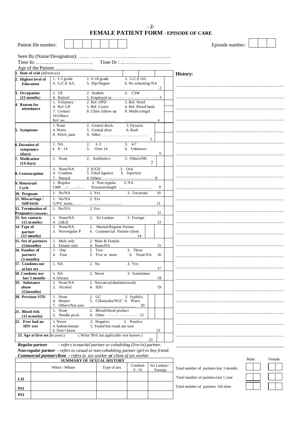|                                                                                                                |                                                                                |  |          |                  |                                           |                               |         |                                                                            | $-2-$ |          | <b>FEMALE PATIENT FORM - EPISODE OF CARE</b> |
|----------------------------------------------------------------------------------------------------------------|--------------------------------------------------------------------------------|--|----------|------------------|-------------------------------------------|-------------------------------|---------|----------------------------------------------------------------------------|-------|----------|----------------------------------------------|
| Patient file number:                                                                                           |                                                                                |  |          |                  |                                           |                               |         |                                                                            |       |          | Episode number:                              |
| Time In: $\dots \dots \dots \dots \dots \dots \dots \dots \dots \dots$                                         |                                                                                |  |          |                  |                                           |                               |         | Time $Dr: \ldots \ldots \ldots \ldots \ldots \ldots \ldots \ldots \ldots$  |       |          |                                              |
| 1. Date of visit (dd/mm/yy)                                                                                    |                                                                                |  |          |                  |                                           |                               |         |                                                                            |       |          | <b>History:</b>                              |
| 2. Highest level of<br><b>Education</b>                                                                        | 1. $1-5$ grade<br>4. G.C.E A/L                                                 |  |          |                  | 2. 6-10 grade<br>5. Dip/Degree            |                               |         | 3. G.C.E O/L<br>6. No schooling/NA                                         |       | 2        |                                              |
| 3. Occupation                                                                                                  | 1. UE                                                                          |  |          | 2. Student       |                                           |                               |         | 3. CSW                                                                     |       |          |                                              |
| $(12$ months)<br>4. Reason for<br>attendance                                                                   | 4. Retired<br>1. Voluntary<br>4. Ref. GP<br>7. Contact<br>10.Others<br>Ref. no |  |          | 2. Ref. OPD      | 5. Ref. Courts<br>8. Clinic follow up<br> |                               |         | 5. Employed as 33<br>3. Ref. Ward<br>6. Ref. Blood bank<br>9. Medico-legal |       | 4        |                                              |
| 5. Symptoms                                                                                                    | 1. None<br>4. Warts<br>8. Pelvic pain                                          |  |          |                  | 2. Genital disch.<br>5. Genital ulcer     |                               |         | 3. Dysuria<br>6. Rash                                                      | 5     |          |                                              |
| 6. Duration of<br>symptom/s<br>(days)                                                                          | 1. NA<br>$4.8 - 14$                                                            |  | 2.<br>5. | $1 - 3$          | Over 14                                   |                               |         | $3.4 - 7$<br>6. Unknown                                                    |       | 6        |                                              |
| 7. Medication<br>$(14 \text{ days})$                                                                           | 1. None                                                                        |  |          |                  | 2. Antibiotics                            |                               |         | 3. Others/NK                                                               | 7     |          |                                              |
| 8. Contraception                                                                                               | 1. None/NA<br>4. Condom<br>7. Natural                                          |  |          | 2. IUCD          | 5. Tubal ligation                         |                               | 3. Oral | 6. Injection                                                               |       |          |                                              |
| 9. Menstrual<br>Cycle                                                                                          | 1. Regular<br>$LMP$ / /                                                        |  |          |                  | 2. Non regular                            |                               | 3. NA   | Duration/length                                                            |       | 9        |                                              |
| 10. Pregnant<br>11. Miscarriage /                                                                              | 1. No/NA<br>1. No/NA                                                           |  |          | 2. Yes<br>2. Yes |                                           |                               |         | 3. Uncertain                                                               |       | 10       |                                              |
| <b>Still birth</b><br>12. Termination of<br>Pregnancy (12months)                                               | $G/P/C$ status<br>$1.$ No/NA                                                   |  |          | 2. Yes           |                                           |                               |         |                                                                            |       | 11<br>12 |                                              |
| 13. Sex contacts<br>$(12 \text{ m onths})$                                                                     | 1. None/NA<br>4. $(2&3)$                                                       |  |          |                  | 2. Sri Lankan                             |                               |         | 3. Foreign                                                                 |       | 13       |                                              |
| 14. Type of<br>partner<br>$(12$ months)                                                                        | 1. None/NA<br>3. Non-regular P                                                 |  |          |                  |                                           | 2. Marital/Regular Partner    |         | 4. Commercial Partner/client<br>14                                         |       |          |                                              |
| 15. Sex of partners<br>(12 months)<br>16. Number of                                                            | 1. Male only<br>Female only<br>One                                             |  |          | 2. Two           | 4. None/NA                                | 2. Male & Female              |         | 3. Three                                                                   |       | 15       |                                              |
| partners<br>$(3$ months)                                                                                       | 4. Four                                                                        |  |          |                  | 5. Five or more                           |                               |         | 6. None/NA                                                                 |       | 16       |                                              |
| 17. Condoms use<br>at last sex                                                                                 | 1. NA                                                                          |  |          | 2. No            |                                           |                               |         | 3. Yes                                                                     |       | 17       |                                              |
| 18. Condoms use<br>last 3 months<br>19. Substance                                                              | 1. NA<br>4. Always<br>1. None/NA                                               |  |          | 2. Never         |                                           | 2. Narcotics(Inhalation/oral) |         | 3. Sometimes                                                               |       | 18       |                                              |
| abuse<br>(12 months)                                                                                           | 3. Alcohol                                                                     |  |          | 4. IDU           |                                           |                               |         |                                                                            |       | 19       |                                              |
| 20. Previous STD                                                                                               | 1. None<br>4. Herpes<br>7. Others/Not sure                                     |  |          | 2. GC            |                                           |                               |         | 3. Syphilis<br>5. Chlamydia/NGC 6. Warts<br>20                             |       |          |                                              |
| 21. Blood risk<br>$(12$ m onths)                                                                               | 1. None<br>3. Needle prick                                                     |  |          |                  |                                           | 2. Blood/blood product        |         | 4. Other <u>manual contract</u> 21                                         |       |          |                                              |
| 22. Ever had an<br><b>HIV</b> test                                                                             | 1. Never<br>4. Indeterminate<br>6. Don't know                                  |  |          |                  | 2. Negative                               | 5. Tested but result not sure |         | 3. Positive                                                                |       | 22       |                                              |
| 23. Age at first sex (in years)                                                                                |                                                                                |  |          |                  |                                           |                               |         | (Write 99 if not applicable /not known)                                    | 23    |          |                                              |
| Regular partner<br><b>Non-regular partner</b> - refers to casual or non-cohabiting partner/girl or boy friend. |                                                                                |  |          |                  |                                           |                               |         | - refers to marital partner or cohabiting (live-in) partner.               |       |          |                                              |
| <b>Commercial partner/client</b> - refers to sex worker or client of sex worker                                |                                                                                |  |          |                  |                                           |                               |         |                                                                            |       |          |                                              |

**SUMMARY OF SEXUAL HISTORY** When / Whom Type of sex Condom  $\frac{Y}{N}$ Sri Lankan /  $\vert$   $\vert$ Foreign **LSI PSI PSI**

Total number of partners last 3 months

Total number of partners last 1 year Total number of partners life time

Male Female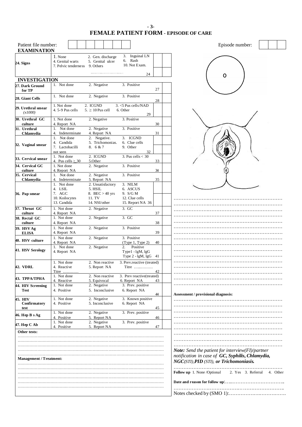**- 3- FEMALE PATIENT FORM - EPISODE OF CARE**

| 3. Inguinal LN<br>$1.$ None<br>2. Gen. discharge<br>6. Rash<br>4. Genital warts<br>5. Genital ulcer<br>24. Signs<br>10. Not Exam.<br>7. Pelvic tenderness<br>9. Others<br>24<br>O<br><b>INVESTIGATION</b><br>1. Not done<br>3. Positive<br>2. Negative<br>27. Dark Ground<br>27<br>for TP<br>1. Not done<br>3. Positive<br>2. Negative<br>28<br>2. ICGND<br>3. < 5 Pus cells/NAD<br>1. Not done<br>29. Urethral smear<br>4.5-9 Pus cells<br>$5. \geq 10$ Pus cell<br>6. Other<br>(x1000)<br>29<br>30. Urethral GC<br>1. Not done<br>2. Negative<br>3. Positive<br>culture<br>30<br>4. Report NA<br>2. Negative<br>3. Positive<br>1. Not done<br>31. Urethral<br>4. Indeterminate<br>4. Report NA<br>31<br>Chlamydia<br>3. ICGND<br>Not done<br>2. Negative.<br>1.<br>5. Trichomonias.<br>6. Clue cells<br>4. Candida<br>32. Vaginal smear<br>7. Lactobacilli<br>8.6 & 7<br>9. Other<br>32<br>not seen<br>2. ICGND<br>3. Pus cells $<$ 30<br>1. Not done<br>33. Cervical smear<br>33<br>4. Pus cells $\geq$ 30<br>5.Other<br>3. Positive<br>34. Cervical GC<br>1. Not done<br>2. Negative<br>culture<br>34<br>4. Report NA<br>3. Positive<br>35. Cervical<br>2. Negative<br>1. Not done<br>Chlamydia<br>5. Report NA<br>35<br>4. Indeterminate<br>2. Unsatisfactory<br>3. NILM<br>1. Not done<br>4. LSIL<br>5. HSIL<br>6. ASCUS<br>7. AGC<br>8. BEC $>40$ yrs<br>9. $S/GM$<br>36. Pap smear<br>10. Koilocytes<br>11. TV<br>12. Clue cells<br>13. Candida<br>14. NSI/other<br>15. Report NA 36<br>37. Throat GC<br>1. Not done<br>3. GC<br>2. Negative<br>culture<br>37<br>4. Report NA<br>3. GC<br>1. Not done<br>2. Negative<br>38. Rectal GC<br>culture<br>38<br>4. Report NA<br>3. Positive<br>1. Not done<br>2. Negative<br>39. HSV Ag<br>39<br>4. Report NA<br><b>ELISA</b><br>1. Not done<br>2. Negative<br>3. Positive<br>40. HSV culture<br>4. Report NA<br>(Type 1, Type 2)<br>40<br>2. Negative<br>Positive<br>1. Not done<br>2.<br>41. HSV Serology<br>Type1 - lgM, lgG<br>4. Report NA<br>Type 2 - lgM, lgG 41<br>2. Non reactive<br>3. Prev.reactive (treated)<br>1. Not done<br>42. VDRL<br>4. Reactive<br>5. Report NA<br>$1$ itre<br>Titre<br>42<br>3. Prev reactive(treated)<br>1. Not done<br>2. Non reactive<br>43. ТРРА/ТРНА<br>4. Reactive<br>5. Equivocal<br>6. Report NA<br>43<br>3. Prev. positive<br>1. Not done<br>2. Negative<br>44. HIV Screening<br>4. Positive<br>5. Inconclusive<br>6. Report NA<br>Test<br>44<br>Assessment / provisional diagnosis:<br>1. Not done<br>2. Negative<br>3. Known positive<br>45. HIV<br>Confirmatory<br>4. Positive<br>5. Inconclusive<br>6. Report NA<br>45<br>test<br>3. Prev. positive<br>1. Not done<br>2. Negative<br>46. Hep B s Ag<br>4. Positive<br>5. Report NA<br>46<br>3. Prev. positive<br>1. Not done<br>2. Negative<br>47. Hep C Ab<br>47<br>5. Report NA<br>4. Positive<br>Other tests:<br><b>Note:</b> Send the patient for interview $\frac{F}{N}$ partner<br>notification in case of GC, Syphilis, Chlamydia,<br><b>Management</b> / Treatment:<br>NGC(STI), PID (STI), or Trichomoniasis.<br>Follow up 1. None /Optional<br>2. Yes 3. Referral | Patient file number:<br><b>EXAMINATION</b> |  |  | Episode number: |
|--------------------------------------------------------------------------------------------------------------------------------------------------------------------------------------------------------------------------------------------------------------------------------------------------------------------------------------------------------------------------------------------------------------------------------------------------------------------------------------------------------------------------------------------------------------------------------------------------------------------------------------------------------------------------------------------------------------------------------------------------------------------------------------------------------------------------------------------------------------------------------------------------------------------------------------------------------------------------------------------------------------------------------------------------------------------------------------------------------------------------------------------------------------------------------------------------------------------------------------------------------------------------------------------------------------------------------------------------------------------------------------------------------------------------------------------------------------------------------------------------------------------------------------------------------------------------------------------------------------------------------------------------------------------------------------------------------------------------------------------------------------------------------------------------------------------------------------------------------------------------------------------------------------------------------------------------------------------------------------------------------------------------------------------------------------------------------------------------------------------------------------------------------------------------------------------------------------------------------------------------------------------------------------------------------------------------------------------------------------------------------------------------------------------------------------------------------------------------------------------------------------------------------------------------------------------------------------------------------------------------------------------------------------------------------------------------------------------------------------------------------------------------------------------------------------------------------------------------------------------------------------------------------------------------------------------------------------------------------------------------------------------------------------------------------------------------------------------------------------------------------|--------------------------------------------|--|--|-----------------|
|                                                                                                                                                                                                                                                                                                                                                                                                                                                                                                                                                                                                                                                                                                                                                                                                                                                                                                                                                                                                                                                                                                                                                                                                                                                                                                                                                                                                                                                                                                                                                                                                                                                                                                                                                                                                                                                                                                                                                                                                                                                                                                                                                                                                                                                                                                                                                                                                                                                                                                                                                                                                                                                                                                                                                                                                                                                                                                                                                                                                                                                                                                                                |                                            |  |  |                 |
|                                                                                                                                                                                                                                                                                                                                                                                                                                                                                                                                                                                                                                                                                                                                                                                                                                                                                                                                                                                                                                                                                                                                                                                                                                                                                                                                                                                                                                                                                                                                                                                                                                                                                                                                                                                                                                                                                                                                                                                                                                                                                                                                                                                                                                                                                                                                                                                                                                                                                                                                                                                                                                                                                                                                                                                                                                                                                                                                                                                                                                                                                                                                |                                            |  |  |                 |
|                                                                                                                                                                                                                                                                                                                                                                                                                                                                                                                                                                                                                                                                                                                                                                                                                                                                                                                                                                                                                                                                                                                                                                                                                                                                                                                                                                                                                                                                                                                                                                                                                                                                                                                                                                                                                                                                                                                                                                                                                                                                                                                                                                                                                                                                                                                                                                                                                                                                                                                                                                                                                                                                                                                                                                                                                                                                                                                                                                                                                                                                                                                                |                                            |  |  |                 |
|                                                                                                                                                                                                                                                                                                                                                                                                                                                                                                                                                                                                                                                                                                                                                                                                                                                                                                                                                                                                                                                                                                                                                                                                                                                                                                                                                                                                                                                                                                                                                                                                                                                                                                                                                                                                                                                                                                                                                                                                                                                                                                                                                                                                                                                                                                                                                                                                                                                                                                                                                                                                                                                                                                                                                                                                                                                                                                                                                                                                                                                                                                                                |                                            |  |  |                 |
|                                                                                                                                                                                                                                                                                                                                                                                                                                                                                                                                                                                                                                                                                                                                                                                                                                                                                                                                                                                                                                                                                                                                                                                                                                                                                                                                                                                                                                                                                                                                                                                                                                                                                                                                                                                                                                                                                                                                                                                                                                                                                                                                                                                                                                                                                                                                                                                                                                                                                                                                                                                                                                                                                                                                                                                                                                                                                                                                                                                                                                                                                                                                |                                            |  |  |                 |
|                                                                                                                                                                                                                                                                                                                                                                                                                                                                                                                                                                                                                                                                                                                                                                                                                                                                                                                                                                                                                                                                                                                                                                                                                                                                                                                                                                                                                                                                                                                                                                                                                                                                                                                                                                                                                                                                                                                                                                                                                                                                                                                                                                                                                                                                                                                                                                                                                                                                                                                                                                                                                                                                                                                                                                                                                                                                                                                                                                                                                                                                                                                                |                                            |  |  |                 |
|                                                                                                                                                                                                                                                                                                                                                                                                                                                                                                                                                                                                                                                                                                                                                                                                                                                                                                                                                                                                                                                                                                                                                                                                                                                                                                                                                                                                                                                                                                                                                                                                                                                                                                                                                                                                                                                                                                                                                                                                                                                                                                                                                                                                                                                                                                                                                                                                                                                                                                                                                                                                                                                                                                                                                                                                                                                                                                                                                                                                                                                                                                                                |                                            |  |  |                 |
|                                                                                                                                                                                                                                                                                                                                                                                                                                                                                                                                                                                                                                                                                                                                                                                                                                                                                                                                                                                                                                                                                                                                                                                                                                                                                                                                                                                                                                                                                                                                                                                                                                                                                                                                                                                                                                                                                                                                                                                                                                                                                                                                                                                                                                                                                                                                                                                                                                                                                                                                                                                                                                                                                                                                                                                                                                                                                                                                                                                                                                                                                                                                |                                            |  |  |                 |
|                                                                                                                                                                                                                                                                                                                                                                                                                                                                                                                                                                                                                                                                                                                                                                                                                                                                                                                                                                                                                                                                                                                                                                                                                                                                                                                                                                                                                                                                                                                                                                                                                                                                                                                                                                                                                                                                                                                                                                                                                                                                                                                                                                                                                                                                                                                                                                                                                                                                                                                                                                                                                                                                                                                                                                                                                                                                                                                                                                                                                                                                                                                                | 28. Giant Cells                            |  |  |                 |
|                                                                                                                                                                                                                                                                                                                                                                                                                                                                                                                                                                                                                                                                                                                                                                                                                                                                                                                                                                                                                                                                                                                                                                                                                                                                                                                                                                                                                                                                                                                                                                                                                                                                                                                                                                                                                                                                                                                                                                                                                                                                                                                                                                                                                                                                                                                                                                                                                                                                                                                                                                                                                                                                                                                                                                                                                                                                                                                                                                                                                                                                                                                                |                                            |  |  |                 |
|                                                                                                                                                                                                                                                                                                                                                                                                                                                                                                                                                                                                                                                                                                                                                                                                                                                                                                                                                                                                                                                                                                                                                                                                                                                                                                                                                                                                                                                                                                                                                                                                                                                                                                                                                                                                                                                                                                                                                                                                                                                                                                                                                                                                                                                                                                                                                                                                                                                                                                                                                                                                                                                                                                                                                                                                                                                                                                                                                                                                                                                                                                                                |                                            |  |  |                 |
|                                                                                                                                                                                                                                                                                                                                                                                                                                                                                                                                                                                                                                                                                                                                                                                                                                                                                                                                                                                                                                                                                                                                                                                                                                                                                                                                                                                                                                                                                                                                                                                                                                                                                                                                                                                                                                                                                                                                                                                                                                                                                                                                                                                                                                                                                                                                                                                                                                                                                                                                                                                                                                                                                                                                                                                                                                                                                                                                                                                                                                                                                                                                |                                            |  |  |                 |
|                                                                                                                                                                                                                                                                                                                                                                                                                                                                                                                                                                                                                                                                                                                                                                                                                                                                                                                                                                                                                                                                                                                                                                                                                                                                                                                                                                                                                                                                                                                                                                                                                                                                                                                                                                                                                                                                                                                                                                                                                                                                                                                                                                                                                                                                                                                                                                                                                                                                                                                                                                                                                                                                                                                                                                                                                                                                                                                                                                                                                                                                                                                                |                                            |  |  |                 |
|                                                                                                                                                                                                                                                                                                                                                                                                                                                                                                                                                                                                                                                                                                                                                                                                                                                                                                                                                                                                                                                                                                                                                                                                                                                                                                                                                                                                                                                                                                                                                                                                                                                                                                                                                                                                                                                                                                                                                                                                                                                                                                                                                                                                                                                                                                                                                                                                                                                                                                                                                                                                                                                                                                                                                                                                                                                                                                                                                                                                                                                                                                                                |                                            |  |  |                 |
|                                                                                                                                                                                                                                                                                                                                                                                                                                                                                                                                                                                                                                                                                                                                                                                                                                                                                                                                                                                                                                                                                                                                                                                                                                                                                                                                                                                                                                                                                                                                                                                                                                                                                                                                                                                                                                                                                                                                                                                                                                                                                                                                                                                                                                                                                                                                                                                                                                                                                                                                                                                                                                                                                                                                                                                                                                                                                                                                                                                                                                                                                                                                |                                            |  |  |                 |
|                                                                                                                                                                                                                                                                                                                                                                                                                                                                                                                                                                                                                                                                                                                                                                                                                                                                                                                                                                                                                                                                                                                                                                                                                                                                                                                                                                                                                                                                                                                                                                                                                                                                                                                                                                                                                                                                                                                                                                                                                                                                                                                                                                                                                                                                                                                                                                                                                                                                                                                                                                                                                                                                                                                                                                                                                                                                                                                                                                                                                                                                                                                                |                                            |  |  |                 |
|                                                                                                                                                                                                                                                                                                                                                                                                                                                                                                                                                                                                                                                                                                                                                                                                                                                                                                                                                                                                                                                                                                                                                                                                                                                                                                                                                                                                                                                                                                                                                                                                                                                                                                                                                                                                                                                                                                                                                                                                                                                                                                                                                                                                                                                                                                                                                                                                                                                                                                                                                                                                                                                                                                                                                                                                                                                                                                                                                                                                                                                                                                                                |                                            |  |  |                 |
|                                                                                                                                                                                                                                                                                                                                                                                                                                                                                                                                                                                                                                                                                                                                                                                                                                                                                                                                                                                                                                                                                                                                                                                                                                                                                                                                                                                                                                                                                                                                                                                                                                                                                                                                                                                                                                                                                                                                                                                                                                                                                                                                                                                                                                                                                                                                                                                                                                                                                                                                                                                                                                                                                                                                                                                                                                                                                                                                                                                                                                                                                                                                |                                            |  |  |                 |
|                                                                                                                                                                                                                                                                                                                                                                                                                                                                                                                                                                                                                                                                                                                                                                                                                                                                                                                                                                                                                                                                                                                                                                                                                                                                                                                                                                                                                                                                                                                                                                                                                                                                                                                                                                                                                                                                                                                                                                                                                                                                                                                                                                                                                                                                                                                                                                                                                                                                                                                                                                                                                                                                                                                                                                                                                                                                                                                                                                                                                                                                                                                                |                                            |  |  |                 |
|                                                                                                                                                                                                                                                                                                                                                                                                                                                                                                                                                                                                                                                                                                                                                                                                                                                                                                                                                                                                                                                                                                                                                                                                                                                                                                                                                                                                                                                                                                                                                                                                                                                                                                                                                                                                                                                                                                                                                                                                                                                                                                                                                                                                                                                                                                                                                                                                                                                                                                                                                                                                                                                                                                                                                                                                                                                                                                                                                                                                                                                                                                                                |                                            |  |  |                 |
|                                                                                                                                                                                                                                                                                                                                                                                                                                                                                                                                                                                                                                                                                                                                                                                                                                                                                                                                                                                                                                                                                                                                                                                                                                                                                                                                                                                                                                                                                                                                                                                                                                                                                                                                                                                                                                                                                                                                                                                                                                                                                                                                                                                                                                                                                                                                                                                                                                                                                                                                                                                                                                                                                                                                                                                                                                                                                                                                                                                                                                                                                                                                |                                            |  |  |                 |
|                                                                                                                                                                                                                                                                                                                                                                                                                                                                                                                                                                                                                                                                                                                                                                                                                                                                                                                                                                                                                                                                                                                                                                                                                                                                                                                                                                                                                                                                                                                                                                                                                                                                                                                                                                                                                                                                                                                                                                                                                                                                                                                                                                                                                                                                                                                                                                                                                                                                                                                                                                                                                                                                                                                                                                                                                                                                                                                                                                                                                                                                                                                                |                                            |  |  |                 |
|                                                                                                                                                                                                                                                                                                                                                                                                                                                                                                                                                                                                                                                                                                                                                                                                                                                                                                                                                                                                                                                                                                                                                                                                                                                                                                                                                                                                                                                                                                                                                                                                                                                                                                                                                                                                                                                                                                                                                                                                                                                                                                                                                                                                                                                                                                                                                                                                                                                                                                                                                                                                                                                                                                                                                                                                                                                                                                                                                                                                                                                                                                                                |                                            |  |  |                 |
|                                                                                                                                                                                                                                                                                                                                                                                                                                                                                                                                                                                                                                                                                                                                                                                                                                                                                                                                                                                                                                                                                                                                                                                                                                                                                                                                                                                                                                                                                                                                                                                                                                                                                                                                                                                                                                                                                                                                                                                                                                                                                                                                                                                                                                                                                                                                                                                                                                                                                                                                                                                                                                                                                                                                                                                                                                                                                                                                                                                                                                                                                                                                |                                            |  |  |                 |
|                                                                                                                                                                                                                                                                                                                                                                                                                                                                                                                                                                                                                                                                                                                                                                                                                                                                                                                                                                                                                                                                                                                                                                                                                                                                                                                                                                                                                                                                                                                                                                                                                                                                                                                                                                                                                                                                                                                                                                                                                                                                                                                                                                                                                                                                                                                                                                                                                                                                                                                                                                                                                                                                                                                                                                                                                                                                                                                                                                                                                                                                                                                                |                                            |  |  |                 |
|                                                                                                                                                                                                                                                                                                                                                                                                                                                                                                                                                                                                                                                                                                                                                                                                                                                                                                                                                                                                                                                                                                                                                                                                                                                                                                                                                                                                                                                                                                                                                                                                                                                                                                                                                                                                                                                                                                                                                                                                                                                                                                                                                                                                                                                                                                                                                                                                                                                                                                                                                                                                                                                                                                                                                                                                                                                                                                                                                                                                                                                                                                                                |                                            |  |  |                 |
|                                                                                                                                                                                                                                                                                                                                                                                                                                                                                                                                                                                                                                                                                                                                                                                                                                                                                                                                                                                                                                                                                                                                                                                                                                                                                                                                                                                                                                                                                                                                                                                                                                                                                                                                                                                                                                                                                                                                                                                                                                                                                                                                                                                                                                                                                                                                                                                                                                                                                                                                                                                                                                                                                                                                                                                                                                                                                                                                                                                                                                                                                                                                |                                            |  |  |                 |
|                                                                                                                                                                                                                                                                                                                                                                                                                                                                                                                                                                                                                                                                                                                                                                                                                                                                                                                                                                                                                                                                                                                                                                                                                                                                                                                                                                                                                                                                                                                                                                                                                                                                                                                                                                                                                                                                                                                                                                                                                                                                                                                                                                                                                                                                                                                                                                                                                                                                                                                                                                                                                                                                                                                                                                                                                                                                                                                                                                                                                                                                                                                                |                                            |  |  |                 |
|                                                                                                                                                                                                                                                                                                                                                                                                                                                                                                                                                                                                                                                                                                                                                                                                                                                                                                                                                                                                                                                                                                                                                                                                                                                                                                                                                                                                                                                                                                                                                                                                                                                                                                                                                                                                                                                                                                                                                                                                                                                                                                                                                                                                                                                                                                                                                                                                                                                                                                                                                                                                                                                                                                                                                                                                                                                                                                                                                                                                                                                                                                                                |                                            |  |  |                 |
|                                                                                                                                                                                                                                                                                                                                                                                                                                                                                                                                                                                                                                                                                                                                                                                                                                                                                                                                                                                                                                                                                                                                                                                                                                                                                                                                                                                                                                                                                                                                                                                                                                                                                                                                                                                                                                                                                                                                                                                                                                                                                                                                                                                                                                                                                                                                                                                                                                                                                                                                                                                                                                                                                                                                                                                                                                                                                                                                                                                                                                                                                                                                |                                            |  |  |                 |
|                                                                                                                                                                                                                                                                                                                                                                                                                                                                                                                                                                                                                                                                                                                                                                                                                                                                                                                                                                                                                                                                                                                                                                                                                                                                                                                                                                                                                                                                                                                                                                                                                                                                                                                                                                                                                                                                                                                                                                                                                                                                                                                                                                                                                                                                                                                                                                                                                                                                                                                                                                                                                                                                                                                                                                                                                                                                                                                                                                                                                                                                                                                                |                                            |  |  |                 |
|                                                                                                                                                                                                                                                                                                                                                                                                                                                                                                                                                                                                                                                                                                                                                                                                                                                                                                                                                                                                                                                                                                                                                                                                                                                                                                                                                                                                                                                                                                                                                                                                                                                                                                                                                                                                                                                                                                                                                                                                                                                                                                                                                                                                                                                                                                                                                                                                                                                                                                                                                                                                                                                                                                                                                                                                                                                                                                                                                                                                                                                                                                                                |                                            |  |  |                 |
|                                                                                                                                                                                                                                                                                                                                                                                                                                                                                                                                                                                                                                                                                                                                                                                                                                                                                                                                                                                                                                                                                                                                                                                                                                                                                                                                                                                                                                                                                                                                                                                                                                                                                                                                                                                                                                                                                                                                                                                                                                                                                                                                                                                                                                                                                                                                                                                                                                                                                                                                                                                                                                                                                                                                                                                                                                                                                                                                                                                                                                                                                                                                |                                            |  |  |                 |
|                                                                                                                                                                                                                                                                                                                                                                                                                                                                                                                                                                                                                                                                                                                                                                                                                                                                                                                                                                                                                                                                                                                                                                                                                                                                                                                                                                                                                                                                                                                                                                                                                                                                                                                                                                                                                                                                                                                                                                                                                                                                                                                                                                                                                                                                                                                                                                                                                                                                                                                                                                                                                                                                                                                                                                                                                                                                                                                                                                                                                                                                                                                                |                                            |  |  |                 |
|                                                                                                                                                                                                                                                                                                                                                                                                                                                                                                                                                                                                                                                                                                                                                                                                                                                                                                                                                                                                                                                                                                                                                                                                                                                                                                                                                                                                                                                                                                                                                                                                                                                                                                                                                                                                                                                                                                                                                                                                                                                                                                                                                                                                                                                                                                                                                                                                                                                                                                                                                                                                                                                                                                                                                                                                                                                                                                                                                                                                                                                                                                                                |                                            |  |  |                 |
|                                                                                                                                                                                                                                                                                                                                                                                                                                                                                                                                                                                                                                                                                                                                                                                                                                                                                                                                                                                                                                                                                                                                                                                                                                                                                                                                                                                                                                                                                                                                                                                                                                                                                                                                                                                                                                                                                                                                                                                                                                                                                                                                                                                                                                                                                                                                                                                                                                                                                                                                                                                                                                                                                                                                                                                                                                                                                                                                                                                                                                                                                                                                |                                            |  |  |                 |
|                                                                                                                                                                                                                                                                                                                                                                                                                                                                                                                                                                                                                                                                                                                                                                                                                                                                                                                                                                                                                                                                                                                                                                                                                                                                                                                                                                                                                                                                                                                                                                                                                                                                                                                                                                                                                                                                                                                                                                                                                                                                                                                                                                                                                                                                                                                                                                                                                                                                                                                                                                                                                                                                                                                                                                                                                                                                                                                                                                                                                                                                                                                                |                                            |  |  |                 |
|                                                                                                                                                                                                                                                                                                                                                                                                                                                                                                                                                                                                                                                                                                                                                                                                                                                                                                                                                                                                                                                                                                                                                                                                                                                                                                                                                                                                                                                                                                                                                                                                                                                                                                                                                                                                                                                                                                                                                                                                                                                                                                                                                                                                                                                                                                                                                                                                                                                                                                                                                                                                                                                                                                                                                                                                                                                                                                                                                                                                                                                                                                                                |                                            |  |  |                 |
|                                                                                                                                                                                                                                                                                                                                                                                                                                                                                                                                                                                                                                                                                                                                                                                                                                                                                                                                                                                                                                                                                                                                                                                                                                                                                                                                                                                                                                                                                                                                                                                                                                                                                                                                                                                                                                                                                                                                                                                                                                                                                                                                                                                                                                                                                                                                                                                                                                                                                                                                                                                                                                                                                                                                                                                                                                                                                                                                                                                                                                                                                                                                |                                            |  |  |                 |
|                                                                                                                                                                                                                                                                                                                                                                                                                                                                                                                                                                                                                                                                                                                                                                                                                                                                                                                                                                                                                                                                                                                                                                                                                                                                                                                                                                                                                                                                                                                                                                                                                                                                                                                                                                                                                                                                                                                                                                                                                                                                                                                                                                                                                                                                                                                                                                                                                                                                                                                                                                                                                                                                                                                                                                                                                                                                                                                                                                                                                                                                                                                                |                                            |  |  |                 |
|                                                                                                                                                                                                                                                                                                                                                                                                                                                                                                                                                                                                                                                                                                                                                                                                                                                                                                                                                                                                                                                                                                                                                                                                                                                                                                                                                                                                                                                                                                                                                                                                                                                                                                                                                                                                                                                                                                                                                                                                                                                                                                                                                                                                                                                                                                                                                                                                                                                                                                                                                                                                                                                                                                                                                                                                                                                                                                                                                                                                                                                                                                                                |                                            |  |  |                 |
|                                                                                                                                                                                                                                                                                                                                                                                                                                                                                                                                                                                                                                                                                                                                                                                                                                                                                                                                                                                                                                                                                                                                                                                                                                                                                                                                                                                                                                                                                                                                                                                                                                                                                                                                                                                                                                                                                                                                                                                                                                                                                                                                                                                                                                                                                                                                                                                                                                                                                                                                                                                                                                                                                                                                                                                                                                                                                                                                                                                                                                                                                                                                |                                            |  |  |                 |
|                                                                                                                                                                                                                                                                                                                                                                                                                                                                                                                                                                                                                                                                                                                                                                                                                                                                                                                                                                                                                                                                                                                                                                                                                                                                                                                                                                                                                                                                                                                                                                                                                                                                                                                                                                                                                                                                                                                                                                                                                                                                                                                                                                                                                                                                                                                                                                                                                                                                                                                                                                                                                                                                                                                                                                                                                                                                                                                                                                                                                                                                                                                                |                                            |  |  |                 |
|                                                                                                                                                                                                                                                                                                                                                                                                                                                                                                                                                                                                                                                                                                                                                                                                                                                                                                                                                                                                                                                                                                                                                                                                                                                                                                                                                                                                                                                                                                                                                                                                                                                                                                                                                                                                                                                                                                                                                                                                                                                                                                                                                                                                                                                                                                                                                                                                                                                                                                                                                                                                                                                                                                                                                                                                                                                                                                                                                                                                                                                                                                                                |                                            |  |  |                 |
|                                                                                                                                                                                                                                                                                                                                                                                                                                                                                                                                                                                                                                                                                                                                                                                                                                                                                                                                                                                                                                                                                                                                                                                                                                                                                                                                                                                                                                                                                                                                                                                                                                                                                                                                                                                                                                                                                                                                                                                                                                                                                                                                                                                                                                                                                                                                                                                                                                                                                                                                                                                                                                                                                                                                                                                                                                                                                                                                                                                                                                                                                                                                |                                            |  |  |                 |
|                                                                                                                                                                                                                                                                                                                                                                                                                                                                                                                                                                                                                                                                                                                                                                                                                                                                                                                                                                                                                                                                                                                                                                                                                                                                                                                                                                                                                                                                                                                                                                                                                                                                                                                                                                                                                                                                                                                                                                                                                                                                                                                                                                                                                                                                                                                                                                                                                                                                                                                                                                                                                                                                                                                                                                                                                                                                                                                                                                                                                                                                                                                                |                                            |  |  |                 |
|                                                                                                                                                                                                                                                                                                                                                                                                                                                                                                                                                                                                                                                                                                                                                                                                                                                                                                                                                                                                                                                                                                                                                                                                                                                                                                                                                                                                                                                                                                                                                                                                                                                                                                                                                                                                                                                                                                                                                                                                                                                                                                                                                                                                                                                                                                                                                                                                                                                                                                                                                                                                                                                                                                                                                                                                                                                                                                                                                                                                                                                                                                                                |                                            |  |  |                 |
|                                                                                                                                                                                                                                                                                                                                                                                                                                                                                                                                                                                                                                                                                                                                                                                                                                                                                                                                                                                                                                                                                                                                                                                                                                                                                                                                                                                                                                                                                                                                                                                                                                                                                                                                                                                                                                                                                                                                                                                                                                                                                                                                                                                                                                                                                                                                                                                                                                                                                                                                                                                                                                                                                                                                                                                                                                                                                                                                                                                                                                                                                                                                |                                            |  |  |                 |
|                                                                                                                                                                                                                                                                                                                                                                                                                                                                                                                                                                                                                                                                                                                                                                                                                                                                                                                                                                                                                                                                                                                                                                                                                                                                                                                                                                                                                                                                                                                                                                                                                                                                                                                                                                                                                                                                                                                                                                                                                                                                                                                                                                                                                                                                                                                                                                                                                                                                                                                                                                                                                                                                                                                                                                                                                                                                                                                                                                                                                                                                                                                                |                                            |  |  |                 |
|                                                                                                                                                                                                                                                                                                                                                                                                                                                                                                                                                                                                                                                                                                                                                                                                                                                                                                                                                                                                                                                                                                                                                                                                                                                                                                                                                                                                                                                                                                                                                                                                                                                                                                                                                                                                                                                                                                                                                                                                                                                                                                                                                                                                                                                                                                                                                                                                                                                                                                                                                                                                                                                                                                                                                                                                                                                                                                                                                                                                                                                                                                                                |                                            |  |  |                 |
|                                                                                                                                                                                                                                                                                                                                                                                                                                                                                                                                                                                                                                                                                                                                                                                                                                                                                                                                                                                                                                                                                                                                                                                                                                                                                                                                                                                                                                                                                                                                                                                                                                                                                                                                                                                                                                                                                                                                                                                                                                                                                                                                                                                                                                                                                                                                                                                                                                                                                                                                                                                                                                                                                                                                                                                                                                                                                                                                                                                                                                                                                                                                |                                            |  |  |                 |
|                                                                                                                                                                                                                                                                                                                                                                                                                                                                                                                                                                                                                                                                                                                                                                                                                                                                                                                                                                                                                                                                                                                                                                                                                                                                                                                                                                                                                                                                                                                                                                                                                                                                                                                                                                                                                                                                                                                                                                                                                                                                                                                                                                                                                                                                                                                                                                                                                                                                                                                                                                                                                                                                                                                                                                                                                                                                                                                                                                                                                                                                                                                                |                                            |  |  |                 |
|                                                                                                                                                                                                                                                                                                                                                                                                                                                                                                                                                                                                                                                                                                                                                                                                                                                                                                                                                                                                                                                                                                                                                                                                                                                                                                                                                                                                                                                                                                                                                                                                                                                                                                                                                                                                                                                                                                                                                                                                                                                                                                                                                                                                                                                                                                                                                                                                                                                                                                                                                                                                                                                                                                                                                                                                                                                                                                                                                                                                                                                                                                                                |                                            |  |  |                 |
|                                                                                                                                                                                                                                                                                                                                                                                                                                                                                                                                                                                                                                                                                                                                                                                                                                                                                                                                                                                                                                                                                                                                                                                                                                                                                                                                                                                                                                                                                                                                                                                                                                                                                                                                                                                                                                                                                                                                                                                                                                                                                                                                                                                                                                                                                                                                                                                                                                                                                                                                                                                                                                                                                                                                                                                                                                                                                                                                                                                                                                                                                                                                |                                            |  |  |                 |
|                                                                                                                                                                                                                                                                                                                                                                                                                                                                                                                                                                                                                                                                                                                                                                                                                                                                                                                                                                                                                                                                                                                                                                                                                                                                                                                                                                                                                                                                                                                                                                                                                                                                                                                                                                                                                                                                                                                                                                                                                                                                                                                                                                                                                                                                                                                                                                                                                                                                                                                                                                                                                                                                                                                                                                                                                                                                                                                                                                                                                                                                                                                                |                                            |  |  |                 |
|                                                                                                                                                                                                                                                                                                                                                                                                                                                                                                                                                                                                                                                                                                                                                                                                                                                                                                                                                                                                                                                                                                                                                                                                                                                                                                                                                                                                                                                                                                                                                                                                                                                                                                                                                                                                                                                                                                                                                                                                                                                                                                                                                                                                                                                                                                                                                                                                                                                                                                                                                                                                                                                                                                                                                                                                                                                                                                                                                                                                                                                                                                                                |                                            |  |  |                 |
|                                                                                                                                                                                                                                                                                                                                                                                                                                                                                                                                                                                                                                                                                                                                                                                                                                                                                                                                                                                                                                                                                                                                                                                                                                                                                                                                                                                                                                                                                                                                                                                                                                                                                                                                                                                                                                                                                                                                                                                                                                                                                                                                                                                                                                                                                                                                                                                                                                                                                                                                                                                                                                                                                                                                                                                                                                                                                                                                                                                                                                                                                                                                |                                            |  |  |                 |
|                                                                                                                                                                                                                                                                                                                                                                                                                                                                                                                                                                                                                                                                                                                                                                                                                                                                                                                                                                                                                                                                                                                                                                                                                                                                                                                                                                                                                                                                                                                                                                                                                                                                                                                                                                                                                                                                                                                                                                                                                                                                                                                                                                                                                                                                                                                                                                                                                                                                                                                                                                                                                                                                                                                                                                                                                                                                                                                                                                                                                                                                                                                                |                                            |  |  |                 |
|                                                                                                                                                                                                                                                                                                                                                                                                                                                                                                                                                                                                                                                                                                                                                                                                                                                                                                                                                                                                                                                                                                                                                                                                                                                                                                                                                                                                                                                                                                                                                                                                                                                                                                                                                                                                                                                                                                                                                                                                                                                                                                                                                                                                                                                                                                                                                                                                                                                                                                                                                                                                                                                                                                                                                                                                                                                                                                                                                                                                                                                                                                                                |                                            |  |  |                 |
|                                                                                                                                                                                                                                                                                                                                                                                                                                                                                                                                                                                                                                                                                                                                                                                                                                                                                                                                                                                                                                                                                                                                                                                                                                                                                                                                                                                                                                                                                                                                                                                                                                                                                                                                                                                                                                                                                                                                                                                                                                                                                                                                                                                                                                                                                                                                                                                                                                                                                                                                                                                                                                                                                                                                                                                                                                                                                                                                                                                                                                                                                                                                |                                            |  |  |                 |
|                                                                                                                                                                                                                                                                                                                                                                                                                                                                                                                                                                                                                                                                                                                                                                                                                                                                                                                                                                                                                                                                                                                                                                                                                                                                                                                                                                                                                                                                                                                                                                                                                                                                                                                                                                                                                                                                                                                                                                                                                                                                                                                                                                                                                                                                                                                                                                                                                                                                                                                                                                                                                                                                                                                                                                                                                                                                                                                                                                                                                                                                                                                                |                                            |  |  |                 |
|                                                                                                                                                                                                                                                                                                                                                                                                                                                                                                                                                                                                                                                                                                                                                                                                                                                                                                                                                                                                                                                                                                                                                                                                                                                                                                                                                                                                                                                                                                                                                                                                                                                                                                                                                                                                                                                                                                                                                                                                                                                                                                                                                                                                                                                                                                                                                                                                                                                                                                                                                                                                                                                                                                                                                                                                                                                                                                                                                                                                                                                                                                                                |                                            |  |  |                 |
|                                                                                                                                                                                                                                                                                                                                                                                                                                                                                                                                                                                                                                                                                                                                                                                                                                                                                                                                                                                                                                                                                                                                                                                                                                                                                                                                                                                                                                                                                                                                                                                                                                                                                                                                                                                                                                                                                                                                                                                                                                                                                                                                                                                                                                                                                                                                                                                                                                                                                                                                                                                                                                                                                                                                                                                                                                                                                                                                                                                                                                                                                                                                |                                            |  |  |                 |
|                                                                                                                                                                                                                                                                                                                                                                                                                                                                                                                                                                                                                                                                                                                                                                                                                                                                                                                                                                                                                                                                                                                                                                                                                                                                                                                                                                                                                                                                                                                                                                                                                                                                                                                                                                                                                                                                                                                                                                                                                                                                                                                                                                                                                                                                                                                                                                                                                                                                                                                                                                                                                                                                                                                                                                                                                                                                                                                                                                                                                                                                                                                                |                                            |  |  |                 |
|                                                                                                                                                                                                                                                                                                                                                                                                                                                                                                                                                                                                                                                                                                                                                                                                                                                                                                                                                                                                                                                                                                                                                                                                                                                                                                                                                                                                                                                                                                                                                                                                                                                                                                                                                                                                                                                                                                                                                                                                                                                                                                                                                                                                                                                                                                                                                                                                                                                                                                                                                                                                                                                                                                                                                                                                                                                                                                                                                                                                                                                                                                                                |                                            |  |  |                 |
|                                                                                                                                                                                                                                                                                                                                                                                                                                                                                                                                                                                                                                                                                                                                                                                                                                                                                                                                                                                                                                                                                                                                                                                                                                                                                                                                                                                                                                                                                                                                                                                                                                                                                                                                                                                                                                                                                                                                                                                                                                                                                                                                                                                                                                                                                                                                                                                                                                                                                                                                                                                                                                                                                                                                                                                                                                                                                                                                                                                                                                                                                                                                |                                            |  |  |                 |
|                                                                                                                                                                                                                                                                                                                                                                                                                                                                                                                                                                                                                                                                                                                                                                                                                                                                                                                                                                                                                                                                                                                                                                                                                                                                                                                                                                                                                                                                                                                                                                                                                                                                                                                                                                                                                                                                                                                                                                                                                                                                                                                                                                                                                                                                                                                                                                                                                                                                                                                                                                                                                                                                                                                                                                                                                                                                                                                                                                                                                                                                                                                                |                                            |  |  |                 |
|                                                                                                                                                                                                                                                                                                                                                                                                                                                                                                                                                                                                                                                                                                                                                                                                                                                                                                                                                                                                                                                                                                                                                                                                                                                                                                                                                                                                                                                                                                                                                                                                                                                                                                                                                                                                                                                                                                                                                                                                                                                                                                                                                                                                                                                                                                                                                                                                                                                                                                                                                                                                                                                                                                                                                                                                                                                                                                                                                                                                                                                                                                                                |                                            |  |  |                 |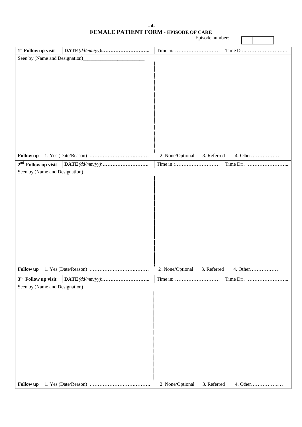#### **- 4- FEMALE PATIENT FORM - EPISODE OF CARE**

|                                | Episode number:                 |          |
|--------------------------------|---------------------------------|----------|
| $1st$ Follow up visit          |                                 | Time Dr: |
| Seen by (Name and Designation) |                                 |          |
|                                |                                 |          |
|                                |                                 |          |
|                                |                                 |          |
|                                |                                 |          |
|                                |                                 |          |
|                                |                                 |          |
|                                |                                 |          |
|                                |                                 |          |
|                                |                                 |          |
|                                |                                 |          |
| Follow up                      | 2. None/Optional<br>3. Referred | 4. Other |
| $2nd$ Follow up visit          | Time in :                       |          |
| Seen by (Name and Designation) |                                 |          |
|                                |                                 |          |
|                                |                                 |          |
|                                |                                 |          |
|                                |                                 |          |
|                                |                                 |          |
|                                |                                 |          |
|                                |                                 |          |
|                                |                                 |          |
|                                |                                 |          |
|                                |                                 |          |
| Follow up                      | 2. None/Optional<br>3. Referred | 4. Other |
| $3rd$ Follow up visit          | Time in:                        |          |
| Seen by (Name and Designation) |                                 |          |
|                                |                                 |          |
|                                |                                 |          |
|                                |                                 |          |
|                                |                                 |          |
|                                |                                 |          |
|                                |                                 |          |
|                                |                                 |          |
|                                |                                 |          |
|                                |                                 |          |
| Follow up                      | 2. None/Optional<br>3. Referred | 4. Other |
|                                |                                 |          |